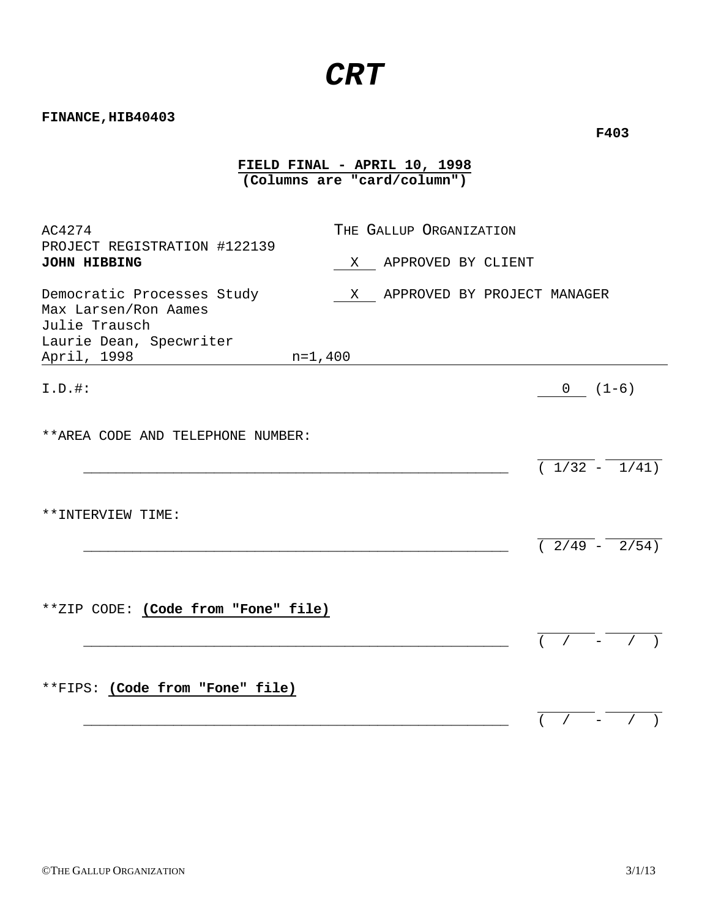# *CRT*

**FIELD FINAL - APRIL 10, 1998 (Columns are "card/column")**

**FINANCE,HIB40403** 

| AC4274                                                                                                                     | THE GALLUP ORGANIZATION          |                            |
|----------------------------------------------------------------------------------------------------------------------------|----------------------------------|----------------------------|
| PROJECT REGISTRATION #122139<br><b>JOHN HIBBING</b>                                                                        | APPROVED BY CLIENT<br>X          |                            |
| Democratic Processes Study<br>Max Larsen/Ron Aames<br>Julie Trausch<br>Laurie Dean, Specwriter<br>April, 1998<br>$n=1,400$ | APPROVED BY PROJECT MANAGER<br>X |                            |
| $I.D.$ #:                                                                                                                  |                                  | $0(1-6)$                   |
| ** AREA CODE AND TELEPHONE NUMBER:                                                                                         |                                  | $(1/32 - 1/41)$            |
| **INTERVIEW TIME:                                                                                                          |                                  | $\overline{(2/49 - 2/54)}$ |
| **ZIP CODE: (Code from "Fone" file)                                                                                        |                                  | $\sqrt{2}$                 |
| **FIPS: (Code from "Fone" file)                                                                                            |                                  |                            |

 **F403**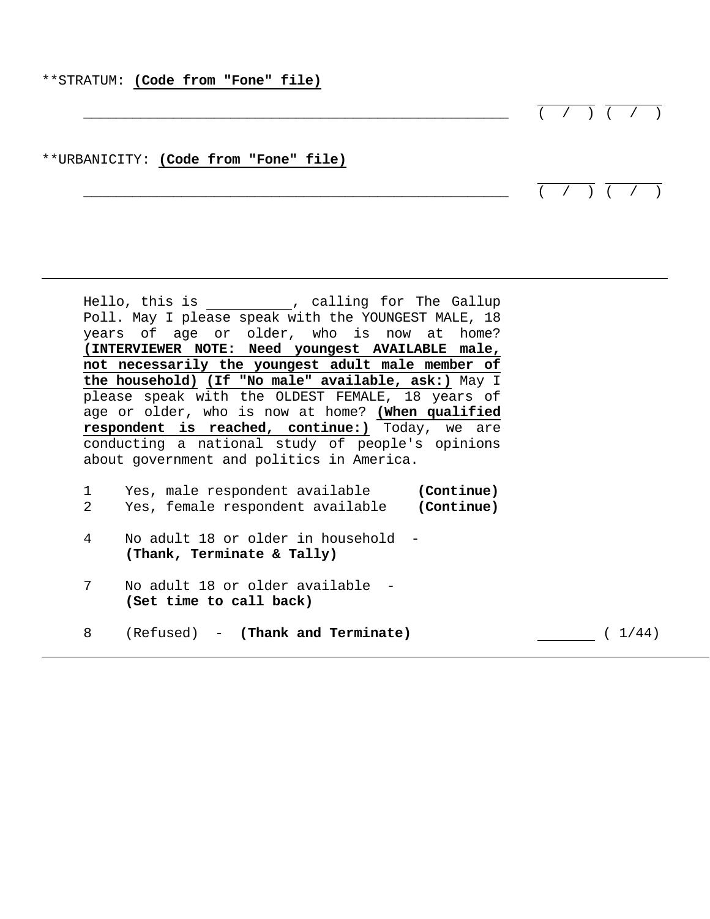#### \*\*STRATUM: **(Code from "Fone" file)**

|  |  | $\left( \begin{array}{cccc} \cdot & \cdot & \cdot & \cdot & \cdot \\ \cdot & \cdot & \cdot & \cdot & \cdot \end{array} \right)$ |  |
|--|--|---------------------------------------------------------------------------------------------------------------------------------|--|

# \*\*URBANICITY: **(Code from "Fone" file)**

 $\overline{(\hspace{0.5cm}1\hspace{0.5cm}\cdot\hspace{0.5cm}\hspace{0.5cm}\cdot\hspace{0.5cm}\cdot\hspace{0.5cm}\hspace{0.5cm}\cdot\hspace{0.5cm}\cdot\hspace{0.5cm}\hspace{0.5cm}})}$ 

Hello, this is  $\qquad \qquad$  , calling for The Gallup Poll. May I please speak with the YOUNGEST MALE, 18 years of age or older, who is now at home? **(INTERVIEWER NOTE: Need youngest AVAILABLE male, not necessarily the youngest adult male member of the household) (If "No male" available, ask:)** May I please speak with the OLDEST FEMALE, 18 years of age or older, who is now at home? **(When qualified respondent is reached, continue:)** Today, we are conducting a national study of people's opinions about government and politics in America.

|  | Yes, male respondent available   | (Continue) |
|--|----------------------------------|------------|
|  | Yes, female respondent available | (Continue) |

- 4 No adult 18 or older in household **(Thank, Terminate & Tally)**
- 7 No adult 18 or older available **(Set time to call back)**
- 8 (Refused) **(Thank and Terminate)** ( 1/44)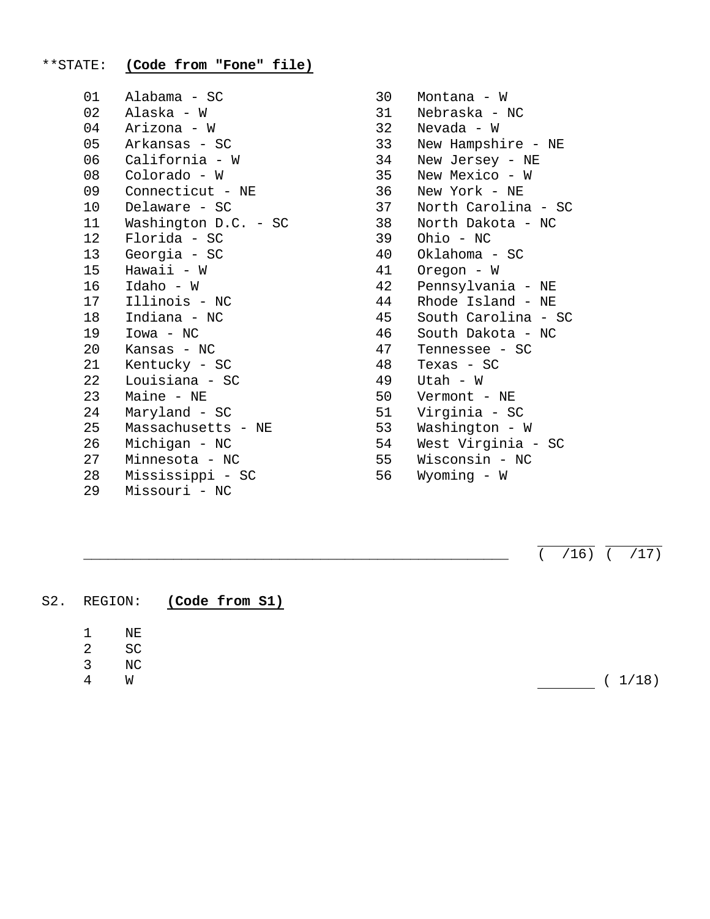# \*\*STATE: **(Code from "Fone" file)**

| 01 | Alabama - SC         |
|----|----------------------|
| 02 | Alaska – W           |
| 04 | Arizona - W          |
| 05 | Arkansas - SC        |
| 06 | California - W       |
| 08 | Colorado - W         |
| 09 | Connecticut - NE     |
| 10 | Delaware - SC        |
| 11 | Washington D.C. - SC |
| 12 | Florida - SC         |
| 13 | Georgia - SC         |
| 15 | Hawaii - W           |
| 16 | Idaho - W            |
| 17 | Illinois - NC        |
| 18 | Indiana - NC         |
| 19 | $Iowa - NC$          |
| 20 | Kansas - NC          |
| 21 | Kentucky - SC        |
| 22 | Louisiana - SC       |
| 23 | Maine - NE           |
| 24 | Maryland - SC        |
| 25 | Massachusetts - NE   |
| 26 | Michigan - NC        |
| 27 | Minnesota - NC       |
| 28 | Mississippi - SC     |
| 29 | Missouri - NC        |

30 Montana - W 31 Nebraska - NC 32 Nevada - W 33 New Hampshire - NE 34 New Jersey - NE 35 New Mexico - W 36 New York - NE 37 North Carolina - SC 38 North Dakota - NC 39 Ohio - NC 40 Oklahoma - SC 41 Oregon - W 42 Pennsylvania - NE 44 Rhode Island - NE 45 South Carolina - SC 46 South Dakota - NC 47 Tennessee - SC 48 Texas - SC 49 Utah - W 50 Vermont - NE 51 Virginia - SC 53 Washington - W 54 West Virginia - SC 55 Wisconsin - NC 56 Wyoming - W

 $\overline{(716)}$   $\overline{(717)}$ 

S2. REGION: **(Code from S1)**  1 NE 2 SC 3 NC 4 W ( 1/18)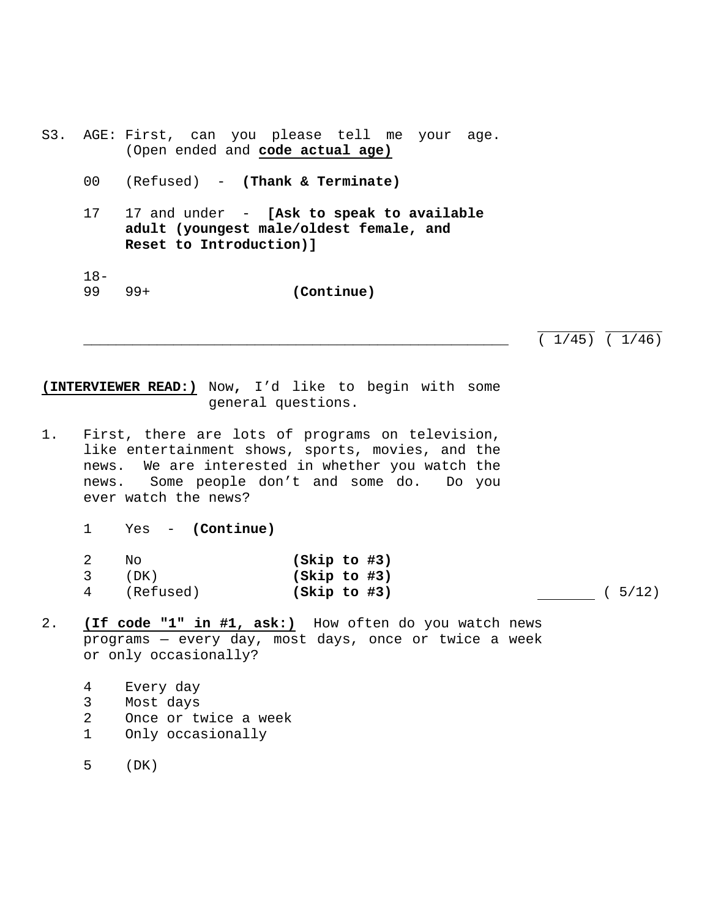- S3. AGE: First, can you please tell me your age. (Open ended and **code actual age)**
	- 00 (Refused) **(Thank & Terminate)**
	- 17 17 and under **[Ask to speak to available adult (youngest male/oldest female, and Reset to Introduction)]**
	- 18- 99 99+ **(Continue)**

 $(1/45)$   $(1/46)$ 

**(INTERVIEWER READ:)** Now**,** I'd like to begin with some general questions.

- 1. First, there are lots of programs on television, like entertainment shows, sports, movies, and the news. We are interested in whether you watch the news. Some people don't and some do. Do you ever watch the news?
	- 1 Yes **(Continue)**

| N∩          | (Skip to #3) |  |
|-------------|--------------|--|
| (DK)        | (Skip to #3) |  |
| 4 (Refused) | (Skip to #3) |  |

(asset 5/12)

- 2. **(If code "1" in #1, ask:)** How often do you watch news programs — every day, most days, once or twice a week or only occasionally?
	- 4 Every day
	- 3 Most days
	- 2 Once or twice a week
	- 1 Only occasionally
	- 5 (DK)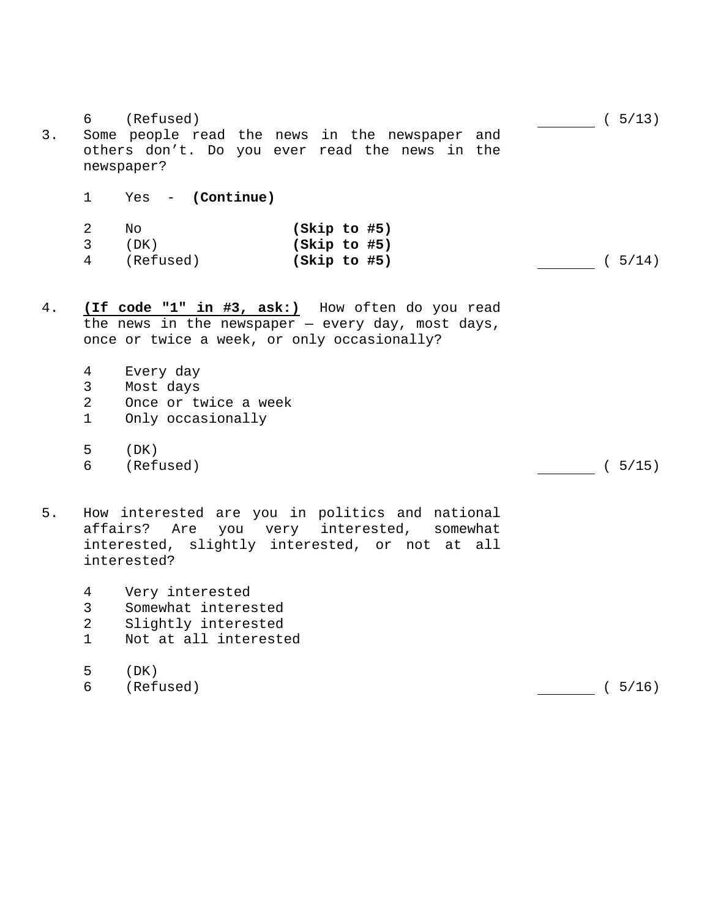|       | 6                                          | (Refused)                                                                                                                                                   | (5/13) |
|-------|--------------------------------------------|-------------------------------------------------------------------------------------------------------------------------------------------------------------|--------|
| 3.    |                                            | Some people read the news in the newspaper<br>and<br>others don't. Do you ever read the news in the<br>newspaper?                                           |        |
|       | 1                                          | $Yes - (Continue)$                                                                                                                                          |        |
|       | 2<br>3<br>$\overline{4}$                   | No<br>(Skip to #5)<br>(DK)<br>(Skip to #5)<br>(Refused)<br>(Skip to #5)                                                                                     | (5/14) |
| $4$ . |                                            | (If code "1" in #3, ask:) How often do you read<br>the news in the newspaper $-$ every day, most days,<br>once or twice a week, or only occasionally?       |        |
|       | $\overline{4}$<br>3<br>$\overline{2}$<br>1 | Every day<br>Most days<br>Once or twice a week<br>Only occasionally                                                                                         |        |
|       | 5<br>6                                     | (DK)<br>(Refused)                                                                                                                                           | (5/15) |
| 5.    | affairs?                                   | How interested are you in politics and national<br>you very interested,<br>Are<br>somewhat<br>interested, slightly interested, or not at all<br>interested? |        |
|       | 4<br>$\mathsf{3}$<br>$\overline{2}$<br>1   | Very interested<br>Somewhat interested<br>Slightly interested<br>Not at all interested                                                                      |        |
|       | 5<br>6                                     | (DK)<br>(Refused)                                                                                                                                           | (5/16) |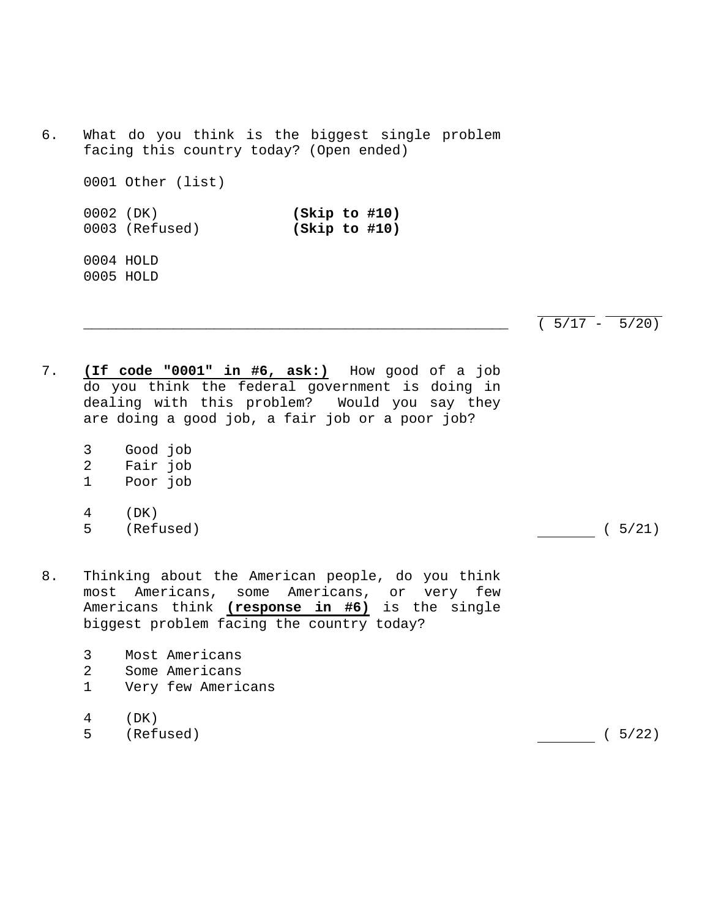6. What do you think is the biggest single problem facing this country today? (Open ended) 0001 Other (list) 0002 (DK) **(Skip to #10)** 0003 (Refused) **(Skip to #10)** 0004 HOLD 0005 HOLD

 $(5/17 - 5/20)$ 

- 7. **(If code "0001" in #6, ask:)** How good of a job do you think the federal government is doing in dealing with this problem? Would you say they are doing a good job, a fair job or a poor job?
	- 3 Good job
	- 2 Fair job
	- 1 Poor job
	- 4 (DK) 5 (Refused) ( 5/21)

- 8. Thinking about the American people, do you think most Americans, some Americans, or very few Americans think **(response in #6)** is the single biggest problem facing the country today?
	- 3 Most Americans
	- 2 Some Americans
	- 1 Very few Americans
	- 4 (DK)
	- 5 (Refused) ( 5/22)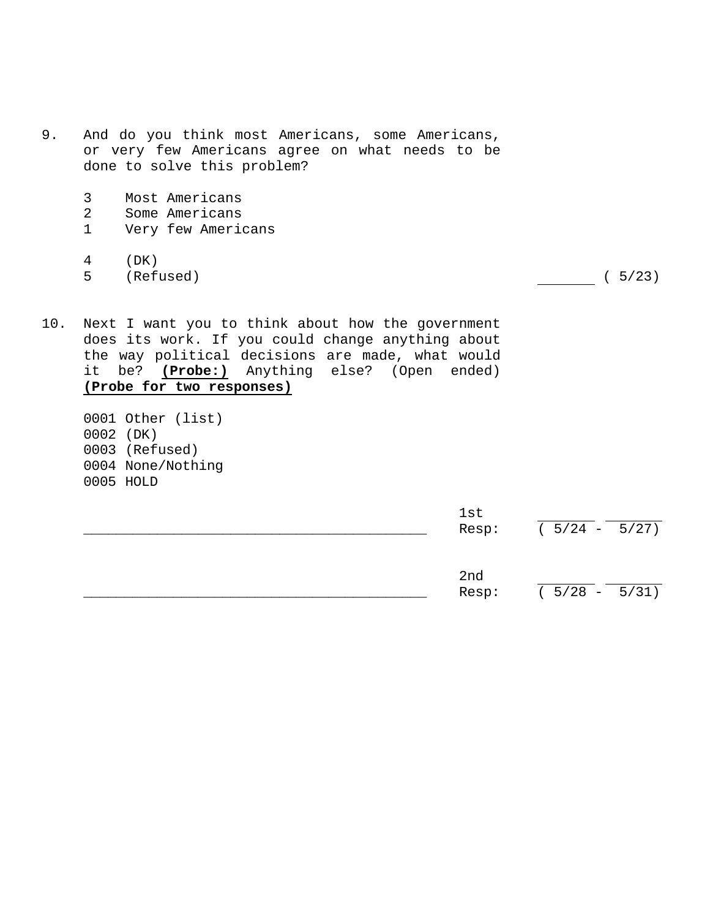- 9. And do you think most Americans, some Americans, or very few Americans agree on what needs to be done to solve this problem?
	- 3 Most Americans<br>2 Some Americans
	- Some Americans
	- 1 Very few Americans
	- 4 (DK)
	- 5 (Refused) ( 5/23)

- 10. Next I want you to think about how the government does its work. If you could change anything about the way political decisions are made, what would it be? **(Probe:)** Anything else? (Open ended) **(Probe for two responses)**
	- 0001 Other (list) 0002 (DK) 0003 (Refused) 0004 None/Nothing 0005 HOLD

|  | lst<br>Resp: | $(5/24 - 5/27)$ |
|--|--------------|-----------------|
|  | 2nd<br>Resp: | $(5/28 - 5/31)$ |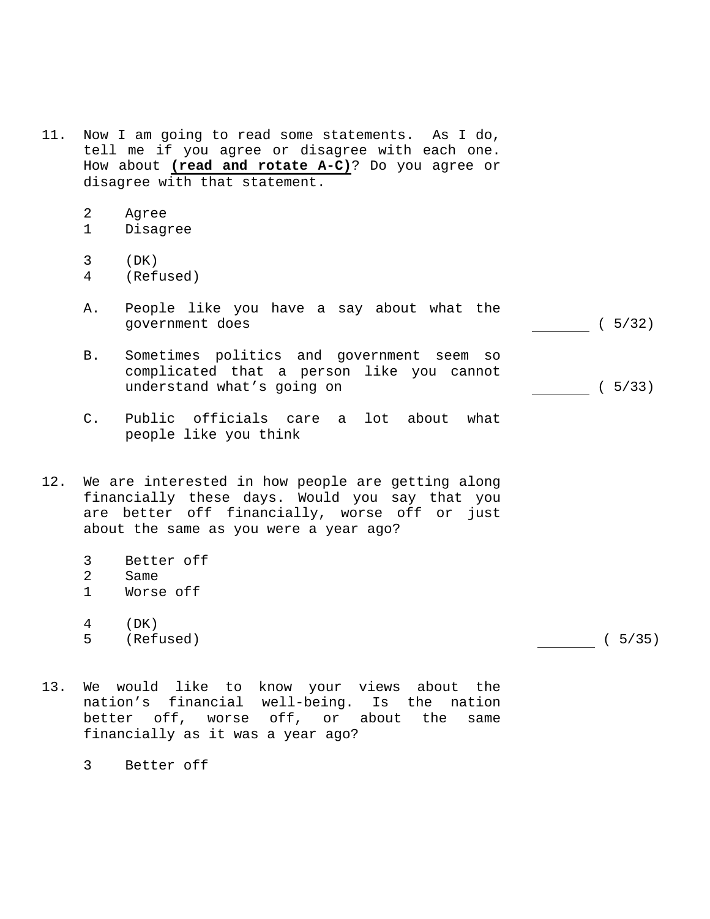- 11. Now I am going to read some statements. As I do, tell me if you agree or disagree with each one. How about **(read and rotate A-C)**? Do you agree or disagree with that statement.
	- 2 Agree
	- 1 Disagree
	- 3 (DK)
	- 4 (Refused)
	- A. People like you have a say about what the government does ( 5/32)
	- B. Sometimes politics and government seem so complicated that a person like you cannot understand what's going on (5/33)
	- C. Public officials care a lot about what people like you think
- 12. We are interested in how people are getting along financially these days. Would you say that you are better off financially, worse off or just about the same as you were a year ago?
	- 3 Better off<br>2 Same
	- Same
	- 1 Worse off
	- 4 (DK)
	- 5 (Refused) ( 5/35)

- 13. We would like to know your views about the nation's financial well-being. Is the nation better off, worse off, or about the same financially as it was a year ago?
	- 3 Better off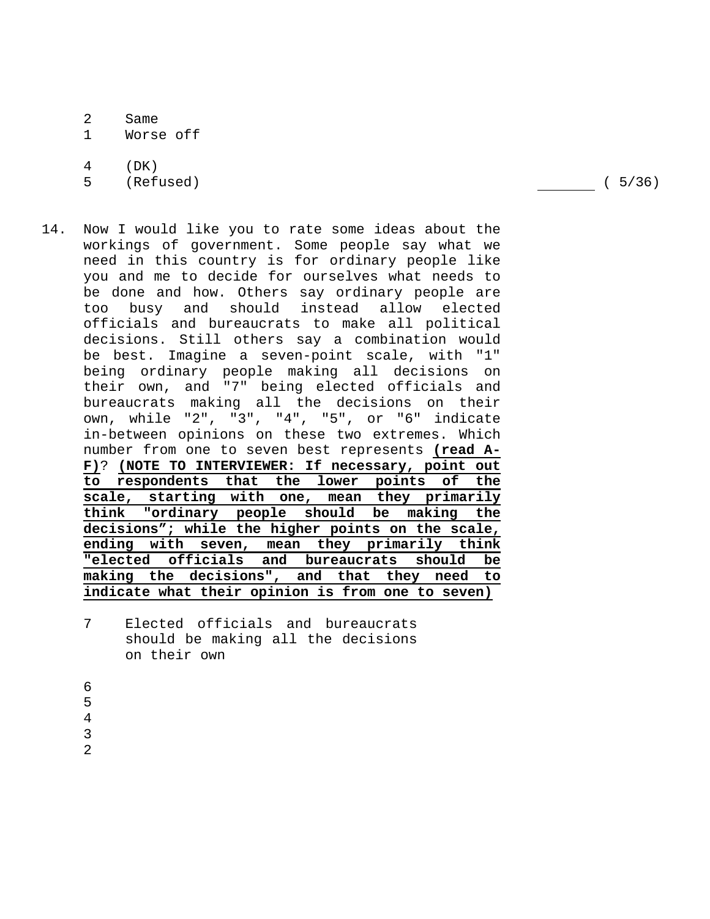- 2 Same
- 1 Worse off

4 (DK)

5 (Refused) ( 5/36)

- 14. Now I would like you to rate some ideas about the workings of government. Some people say what we need in this country is for ordinary people like you and me to decide for ourselves what needs to be done and how. Others say ordinary people are too busy and should instead allow elected officials and bureaucrats to make all political decisions. Still others say a combination would be best. Imagine a seven-point scale, with "1" being ordinary people making all decisions on their own, and "7" being elected officials and bureaucrats making all the decisions on their own, while "2", "3", "4", "5", or "6" indicate in-between opinions on these two extremes. Which number from one to seven best represents **(read A-F)**? **(NOTE TO INTERVIEWER: If necessary, point out to respondents that the lower points of the scale, starting with one, mean they primarily think "ordinary people should be making the decisions"; while the higher points on the scale, ending with seven, mean they primarily think "elected officials and bureaucrats should be making the decisions", and that they need to indicate what their opinion is from one to seven)**
	- 7 Elected officials and bureaucrats should be making all the decisions on their own
	- 6
	- 5
	- 4 3

2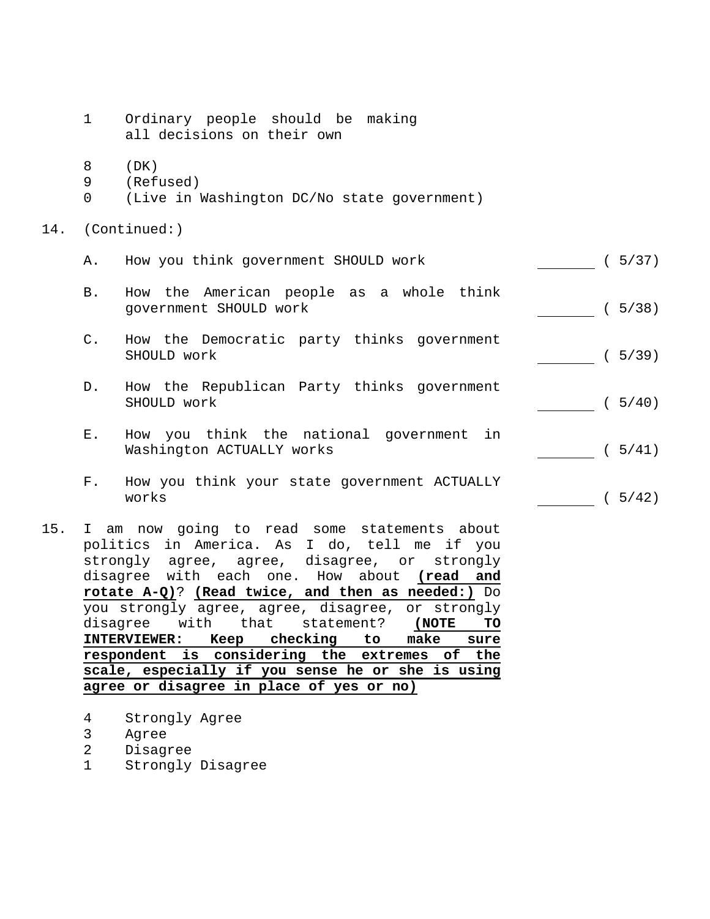- 1 Ordinary people should be making all decisions on their own
- 8 (DK)
- 9 (Refused)
- 0 (Live in Washington DC/No state government)
- 14. (Continued:)

| Α. | How you think government SHOULD work |  | (5/37) |
|----|--------------------------------------|--|--------|
|    |                                      |  |        |

- B. How the American people as a whole think government SHOULD work (5/38)
- C. How the Democratic party thinks government SHOULD work (5/39)
- D. How the Republican Party thinks government SHOULD work (19740)
- E. How you think the national government in Washington ACTUALLY works (5/41)
- F. How you think your state government ACTUALLY works  $(5/42)$
- 15. I am now going to read some statements about politics in America. As I do, tell me if you strongly agree, agree, disagree, or strongly disagree with each one. How about **(read and rotate A-Q)**? **(Read twice, and then as needed:)** Do you strongly agree, agree, disagree, or strongly disagree with that statement? **(NOTE TO INTERVIEWER: Keep checking to make sure respondent is considering the extremes of the scale, especially if you sense he or she is using agree or disagree in place of yes or no)**
	- 4 Strongly Agree
	- 3 Agree
	- 2 Disagree
	- 1 Strongly Disagree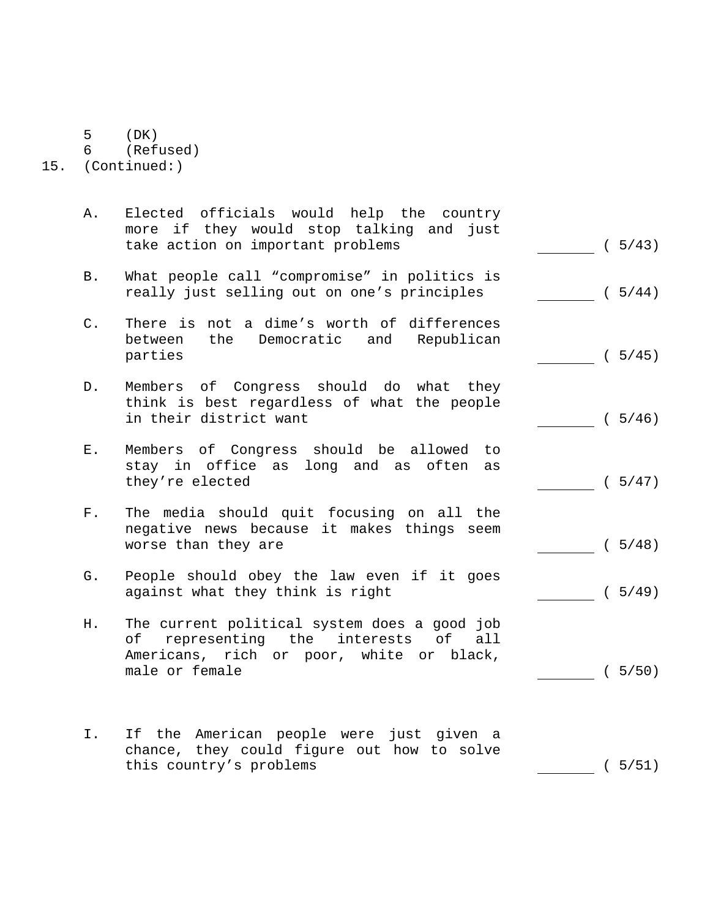- 5 (DK)
- 6 (Refused)

15. (Continued:)

- A. Elected officials would help the country more if they would stop talking and just take action on important problems (5/43)
- B. What people call "compromise" in politics is really just selling out on one's principles ( 5/44)
- C. There is not a dime's worth of differences between the Democratic and Republican parties (5/45)
- D. Members of Congress should do what they think is best regardless of what the people in their district want (5/46)
- E. Members of Congress should be allowed to stay in office as long and as often as they're elected (5/47)
- F. The media should quit focusing on all the negative news because it makes things seem worse than they are (5/48)
- G. People should obey the law even if it goes against what they think is right ( 5/49)
- H. The current political system does a good job of representing the interests of all Americans, rich or poor, white or black, male or female (5/50)
- I. If the American people were just given a chance, they could figure out how to solve this country's problems (5/51)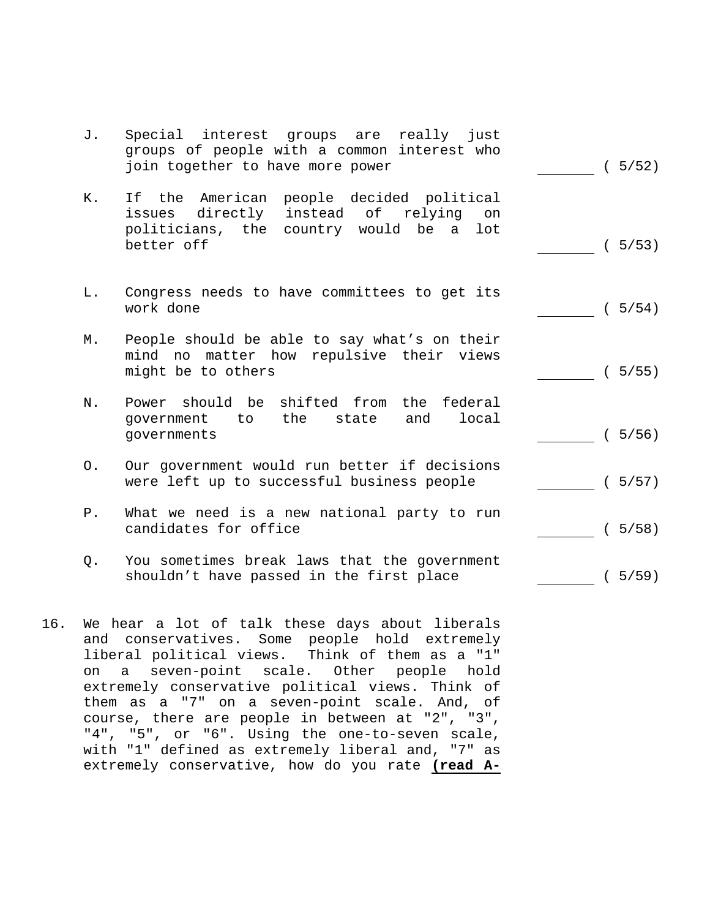| J. | Special interest groups are<br>really just<br>groups of people with a common interest who<br>join together to have more power                    | (5/52) |
|----|--------------------------------------------------------------------------------------------------------------------------------------------------|--------|
| К. | If the American people decided political<br>issues directly instead of relying<br>on<br>politicians, the country would be a<br>lot<br>better off | (5/53) |
| L. | Congress needs to have committees to get its<br>work done                                                                                        | (5/54) |
| М. | People should be able to say what's on their<br>mind no matter how repulsive their views<br>might be to others                                   | (5/55) |
| N. | Power should be shifted from the federal<br>to the<br>qovernment<br>state<br>and<br>local<br>qovernments                                         | (5/56) |
| О. | Our government would run better if decisions<br>were left up to successful business people                                                       | (5/57) |
| P. | What we need is a new national party to run<br>candidates for office                                                                             | (5/58) |
| Q. | You sometimes break laws that the government<br>shouldn't have passed in the first place                                                         | (5/59) |

16. We hear a lot of talk these days about liberals and conservatives. Some people hold extremely liberal political views. Think of them as a "1" on a seven-point scale. Other people hold extremely conservative political views. Think of them as a "7" on a seven-point scale. And, of course, there are people in between at "2", "3", "4", "5", or "6". Using the one-to-seven scale, with "1" defined as extremely liberal and, "7" as extremely conservative, how do you rate **(read A-**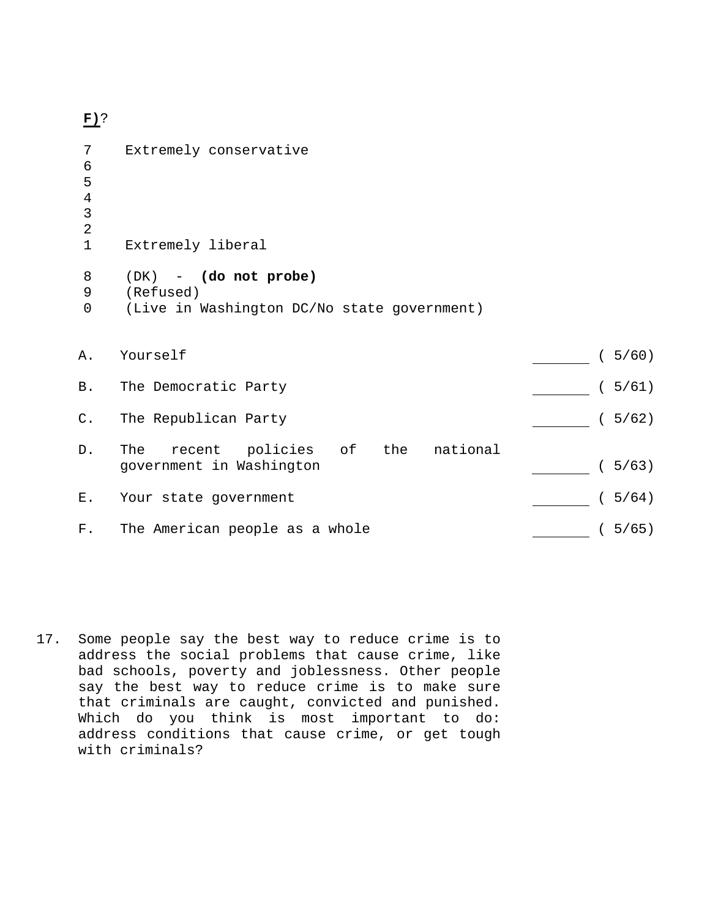**F)**?

| 7              | Extremely conservative                      |        |
|----------------|---------------------------------------------|--------|
| 6              |                                             |        |
| 5              |                                             |        |
| $\overline{4}$ |                                             |        |
| 3              |                                             |        |
| $\overline{2}$ |                                             |        |
| $\mathbf 1$    | Extremely liberal                           |        |
| 8              | $(DK)$ - $(do not probe)$                   |        |
| 9              | (Refused)                                   |        |
| $\mathbf 0$    | (Live in Washington DC/No state government) |        |
|                |                                             |        |
|                |                                             |        |
| Α.             | Yourself                                    | (5/60) |
| <b>B</b> .     | The Democratic Party                        | (5/61) |
|                |                                             |        |
| $C$ .          | The Republican Party                        | (5/62) |
|                |                                             |        |
| $D$ .          | recent policies of the national<br>The      |        |
|                | government in Washington                    | (5/63) |
| Ε.             |                                             | (5/64) |
|                | Your state government                       |        |
| F.             | The American people as a whole              | (5/65) |
|                |                                             |        |

17. Some people say the best way to reduce crime is to address the social problems that cause crime, like bad schools, poverty and joblessness. Other people say the best way to reduce crime is to make sure that criminals are caught, convicted and punished. Which do you think is most important to do: address conditions that cause crime, or get tough with criminals?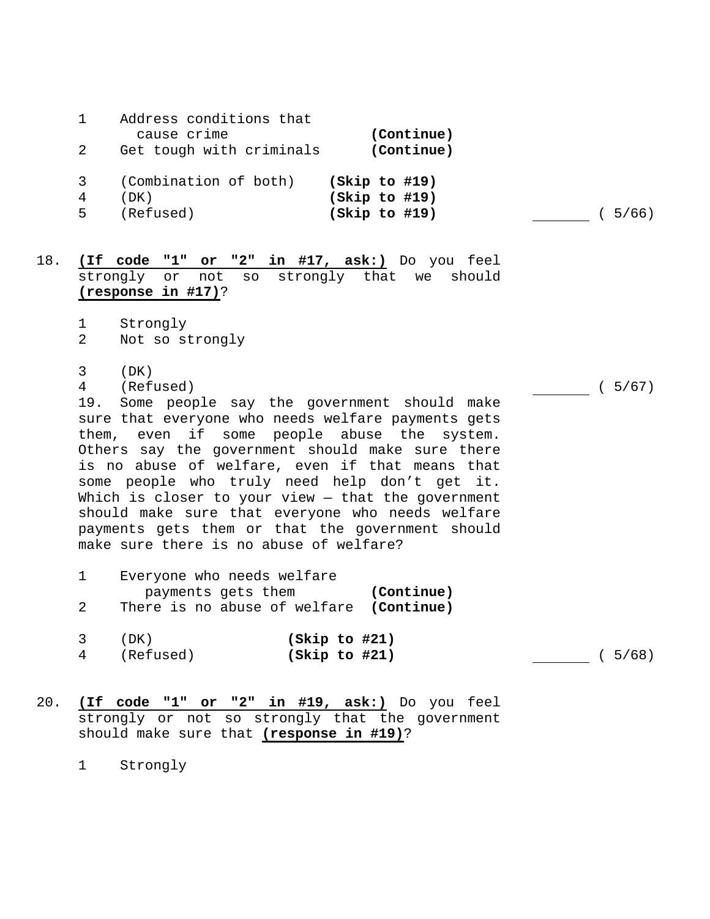|     | 2           | Address conditions that<br>cause crime<br>Get tough with criminals | (Continue)<br>(Continue)                                                                                  |      |
|-----|-------------|--------------------------------------------------------------------|-----------------------------------------------------------------------------------------------------------|------|
|     | 3<br>4<br>5 | (Combination of both)<br>(DK)<br>(Refused)                         | (Skip to #19)<br>(Skip to #19)<br>(Skip to #19)                                                           | 5/66 |
| 18. |             | (If code "1" or "2" in #17, ask:) Do you feel                      | 그 그 사람들은 그 사람들은 그 사람들을 지나치고 있다. 그 사람들은 그 사람들은 그 사람들은 그 사람들을 지나치고 있다. 그 사람들은 그 사람들은 그 사람들은 그 사람들을 지나치고 있다. |      |

strongly or not so strongly that we should **(response in #17)**?

- 1 Strongly
- 2 Not so strongly
- 3 (DK)
- 4 (Refused) ( 5/67)

 19. Some people say the government should make sure that everyone who needs welfare payments gets them, even if some people abuse the system. Others say the government should make sure there is no abuse of welfare, even if that means that some people who truly need help don't get it. Which is closer to your view - that the government should make sure that everyone who needs welfare payments gets them or that the government should make sure there is no abuse of welfare?

- 1 Everyone who needs welfare payments gets them **(Continue)** 2 There is no abuse of welfare **(Continue)**
- 3 (DK) **(Skip to #21)** 4 (Refused) **(Skip to #21)** ( 5/68)

20. **(If code "1" or "2" in #19, ask:)** Do you feel strongly or not so strongly that the government should make sure that **(response in #19)**?

1 Strongly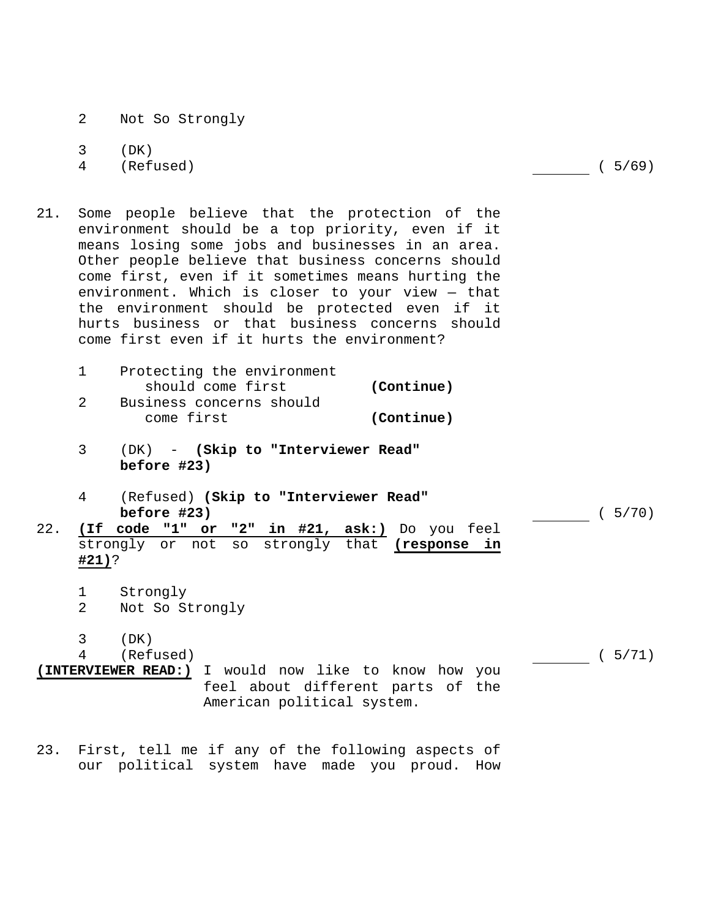- 2 Not So Strongly
- 3 (DK)
- 4 (Refused) ( 5/69)
	-
- 21. Some people believe that the protection of the environment should be a top priority, even if it means losing some jobs and businesses in an area. Other people believe that business concerns should come first, even if it sometimes means hurting the environment. Which is closer to your view — that the environment should be protected even if it hurts business or that business concerns should come first even if it hurts the environment?
	- 1 Protecting the environment should come first **(Continue)**  2 Business concerns should come first **(Continue)**
	- 3 (DK) **(Skip to "Interviewer Read" before #23)**
	- 4 (Refused) **(Skip to "Interviewer Read" before #23)** (5/70)
- 22. **(If code "1" or "2" in #21, ask:)** Do you feel strongly or not so strongly that **(response in #21)**?
	- 1 Strongly
	- 2 Not So Strongly
	- 3 (DK)

4 (Refused) ( 5/71)

- **(INTERVIEWER READ:)** I would now like to know how you feel about different parts of the American political system.
- 23. First, tell me if any of the following aspects of our political system have made you proud. How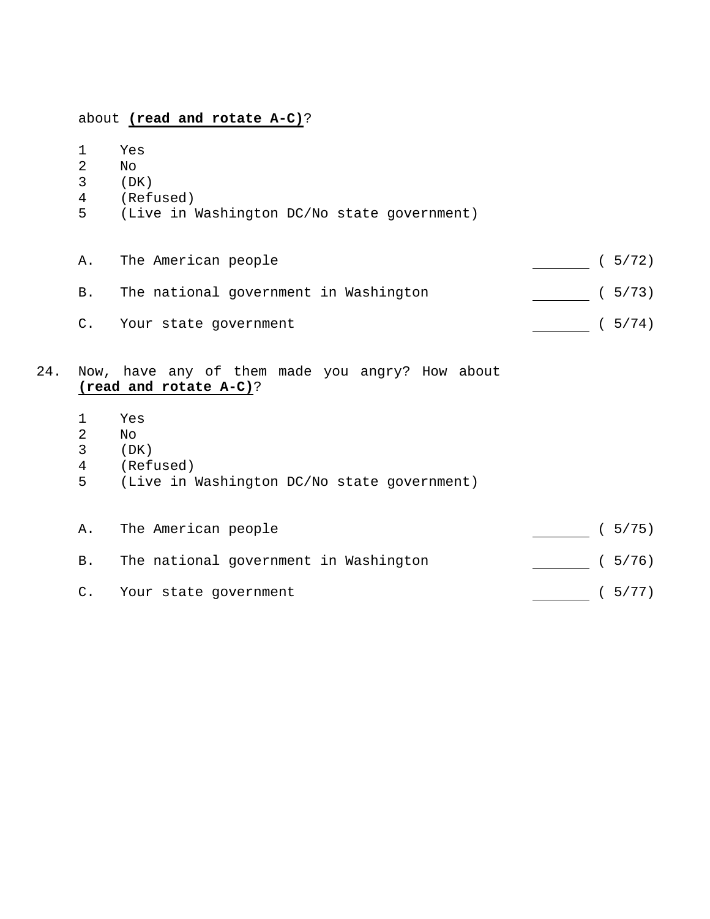# about **(read and rotate A-C)**?

- 1 Yes 2 No
- 3 (DK)
- 
- 4 (Refused)
- 5 (Live in Washington DC/No state government)

| А. | The American people                   | (5/72) |
|----|---------------------------------------|--------|
| B. | The national government in Washington | (5/73) |
|    | C. Your state government              | (5/74) |

# 24. Now, have any of them made you angry? How about **(read and rotate A-C)**?

- 1 Yes
- 2 No<br>3 (DP
- $(DK)$
- 4 (Refused)
- 5 (Live in Washington DC/No state government)

|               | A. The American people                | (5/75) |
|---------------|---------------------------------------|--------|
| B.            | The national government in Washington | (5/76) |
| $C_{\bullet}$ | Your state government                 | (5/77) |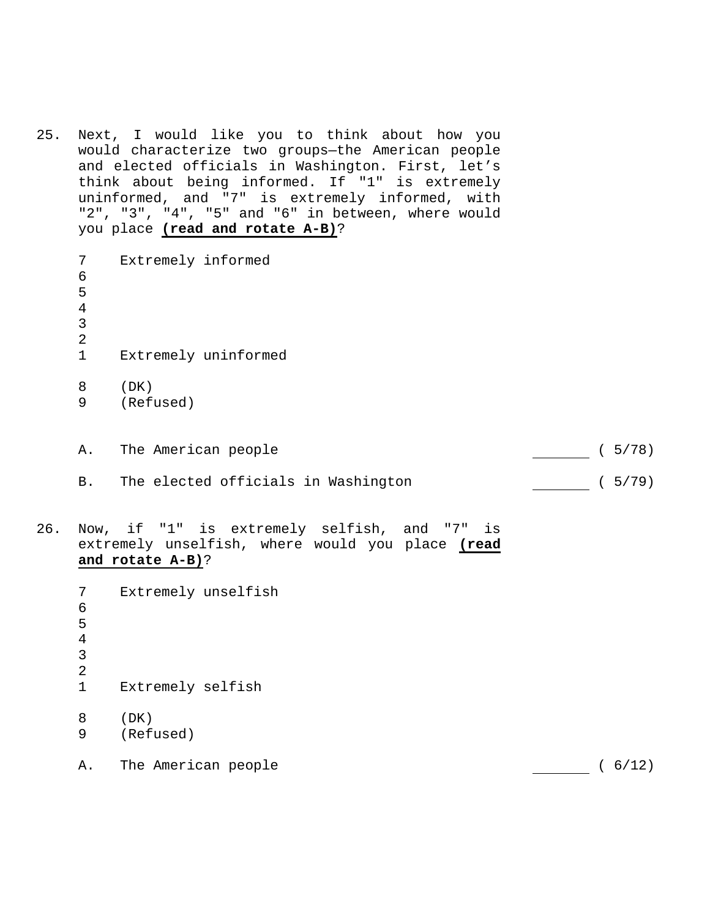25. Next, I would like you to think about how you would characterize two groups—the American people and elected officials in Washington. First, let's think about being informed. If "1" is extremely uninformed, and "7" is extremely informed, with "2", "3", "4", "5" and "6" in between, where would you place **(read and rotate A-B)**?

 7 Extremely informed 6 5 4 3 2 1 Extremely uninformed 8 (DK) 9 (Refused)

- A. The American people (5/78)
- B. The elected officials in Washington [100] (5/79)
- 26. Now, if "1" is extremely selfish, and "7" is extremely unselfish, where would you place **(read and rotate A-B)**?

 7 Extremely unselfish 6 5 4 3 2 1 Extremely selfish 8 (DK) 9 (Refused) A. The American people (6/12)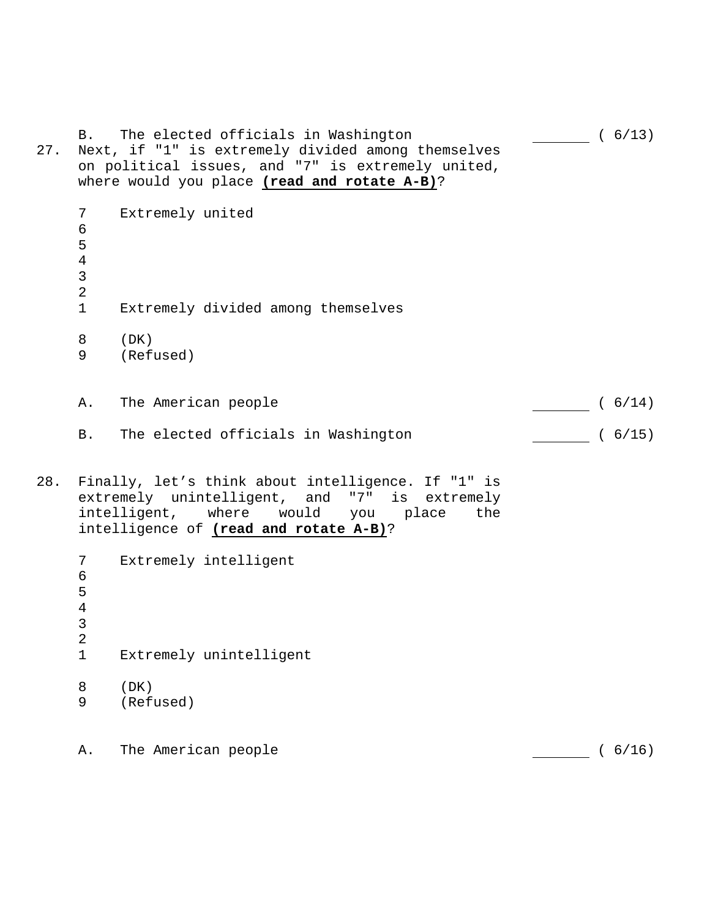| 27. | <b>B</b> .                                                    | The elected officials in Washington<br>Next, if "1" is extremely divided among themselves<br>on political issues, and "7" is extremely united,<br>where would you place (read and rotate A-B)?   | (6/13) |
|-----|---------------------------------------------------------------|--------------------------------------------------------------------------------------------------------------------------------------------------------------------------------------------------|--------|
|     | 7<br>$\epsilon$<br>5<br>$\overline{4}$<br>3<br>$\overline{2}$ | Extremely united                                                                                                                                                                                 |        |
|     | $\mathbf{1}$                                                  | Extremely divided among themselves                                                                                                                                                               |        |
|     | 8<br>9                                                        | (DK)<br>(Refused)                                                                                                                                                                                |        |
|     | Α.                                                            | The American people                                                                                                                                                                              | (6/14) |
|     | B.                                                            | The elected officials in Washington                                                                                                                                                              | (6/15) |
| 28. |                                                               | Finally, let's think about intelligence. If "1" is<br>extremely unintelligent, and "7" is extremely<br>would<br>intelligent, where<br>you place<br>the<br>intelligence of (read and rotate A-B)? |        |
|     | 7<br>6<br>5<br>$\overline{4}$<br>3<br>$\overline{a}$          | Extremely intelligent                                                                                                                                                                            |        |
|     | $\mathbf 1$                                                   | Extremely unintelligent                                                                                                                                                                          |        |
|     | 8<br>9                                                        | (DK)<br>(Refused)                                                                                                                                                                                |        |
|     | Α.                                                            | The American people                                                                                                                                                                              | (6/16) |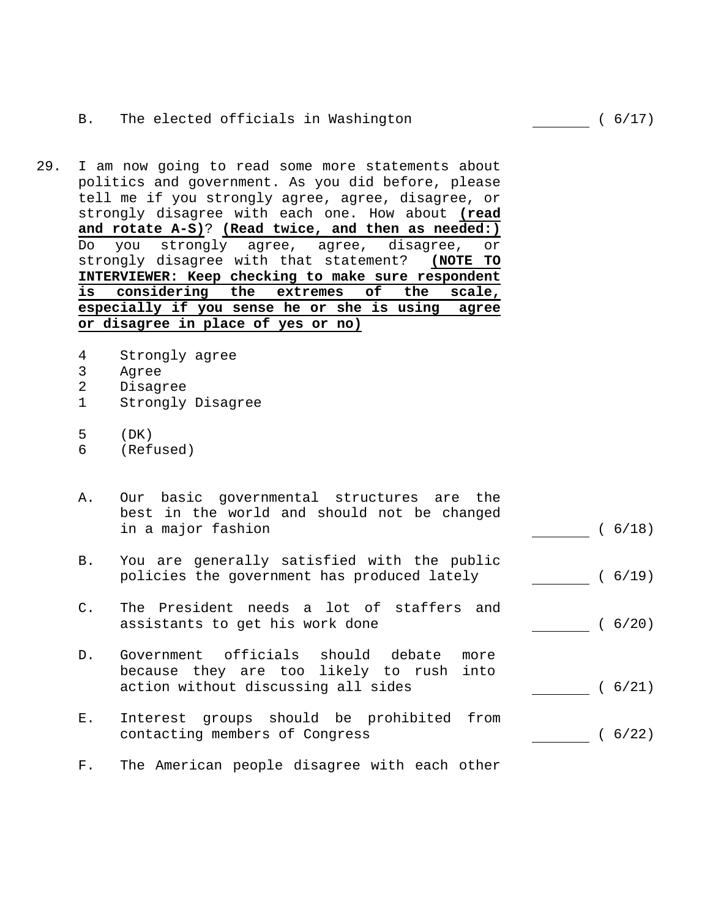# B. The elected officials in Washington (6/17)

- 29. I am now going to read some more statements about politics and government. As you did before, please tell me if you strongly agree, agree, disagree, or strongly disagree with each one. How about **(read and rotate A-S)**? **(Read twice, and then as needed:)** Do you strongly agree, agree, disagree, or strongly disagree with that statement? **(NOTE TO INTERVIEWER: Keep checking to make sure respondent is considering the extremes of the scale, especially if you sense he or she is using agree or disagree in place of yes or no)**
	- 4 Strongly agree
	- 3 Agree
	- 2 Disagree
	- 1 Strongly Disagree
	- 5 (DK)
	- 6 (Refused)
	- A. Our basic governmental structures are the best in the world and should not be changed in a major fashion (6/18)
	- B. You are generally satisfied with the public policies the government has produced lately ( 6/19)
	- C. The President needs a lot of staffers and assistants to get his work done  $(6/20)$
	- D. Government officials should debate more because they are too likely to rush into action without discussing all sides ( 6/21)
	- E. Interest groups should be prohibited from contacting members of Congress (6/22)
	- F. The American people disagree with each other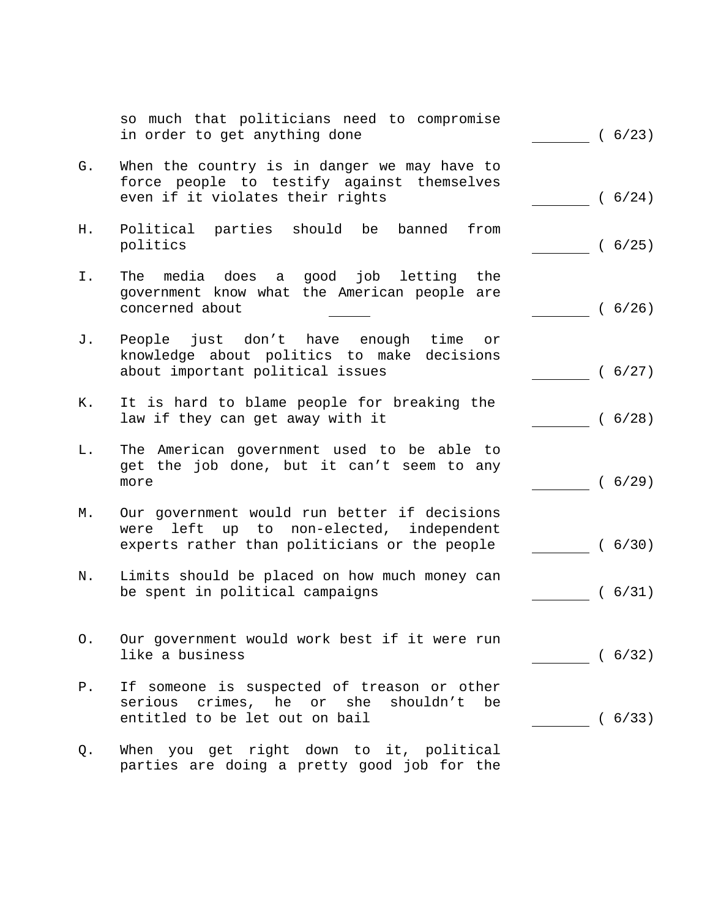|       | so much that politicians need to compromise<br>in order to get anything done                                                              | (6/23) |
|-------|-------------------------------------------------------------------------------------------------------------------------------------------|--------|
| G.    | When the country is in danger we may have to<br>force people to testify against themselves<br>even if it violates their rights            | (6/24) |
| Η.    | Political parties should be<br>banned from<br>politics                                                                                    | (6/25) |
| Ι.    | The media does a good job letting the<br>government know what the American people are<br>concerned about                                  | (6/26) |
| J.    | People just don't have enough time<br>or<br>knowledge about politics to make decisions<br>about important political issues                | (6/27) |
| К.    | It is hard to blame people for breaking the<br>law if they can get away with it                                                           | (6/28) |
| L.    | The American government used to be able to<br>get the job done, but it can't seem to any<br>more                                          | (6/29) |
| М.    | Our government would run better if decisions<br>were left up to non-elected, independent<br>experts rather than politicians or the people | (6/30) |
| Ν.    | Limits should be placed on how much money can<br>be spent in political campaigns                                                          | (6/31) |
| О.    | Our government would work best if it were run<br>like a business                                                                          | (6/32) |
| $P$ . | If someone is suspected of treason or other<br>serious crimes, he or she<br>shouldn't be<br>entitled to be let out on bail                | (6/33) |
| Q.    | When you get right down to it, political<br>parties are doing a pretty good job for the                                                   |        |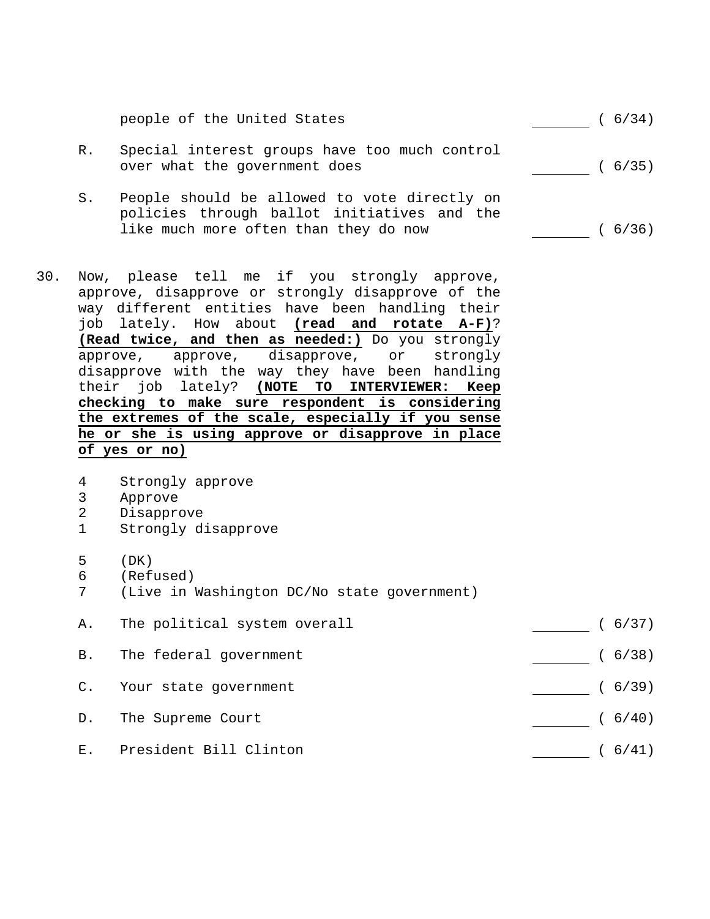people of the United States (6/34)

- R. Special interest groups have too much control over what the government does ( 6/35)
- S. People should be allowed to vote directly on policies through ballot initiatives and the like much more often than they do now ( 6/36)
- 30. Now, please tell me if you strongly approve, approve, disapprove or strongly disapprove of the way different entities have been handling their job lately. How about **(read and rotate A-F)**? **(Read twice, and then as needed:)** Do you strongly approve, approve, disapprove, or strongly disapprove with the way they have been handling their job lately? **(NOTE TO INTERVIEWER: Keep checking to make sure respondent is considering the extremes of the scale, especially if you sense he or she is using approve or disapprove in place of yes or no)**
	- 4 Strongly approve
	- 3 Approve
	- 2 Disapprove
	- 1 Strongly disapprove
	- 5 (DK)
	- 6 (Refused)
	- 7 (Live in Washington DC/No state government)
	- A. The political system overall (6/37)

- B. The federal government (6/38)
- C. Your state government (6/39)
	- D. The Supreme Court (6/40)
	- E. President Bill Clinton ( 6/41)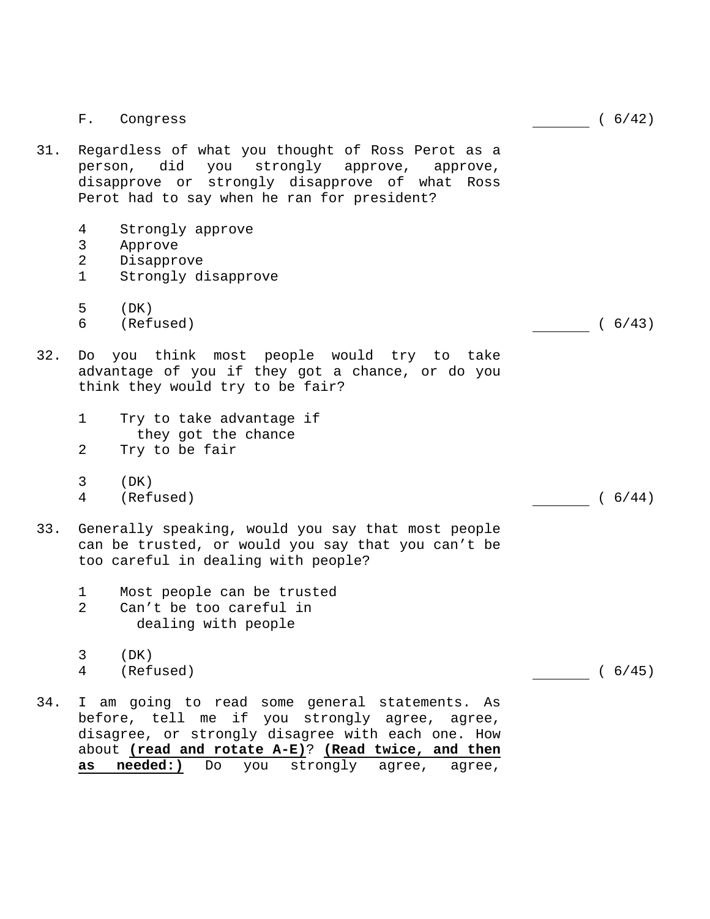|     | ${\bf F}$ .                             | Congress                                                                                                                                                                                                                                                            | (6/42) |
|-----|-----------------------------------------|---------------------------------------------------------------------------------------------------------------------------------------------------------------------------------------------------------------------------------------------------------------------|--------|
| 31. |                                         | Regardless of what you thought of Ross Perot as a<br>person, did you strongly approve,<br>approve,<br>disapprove or strongly disapprove of what Ross<br>Perot had to say when he ran for president?                                                                 |        |
|     | 4<br>3<br>$\overline{2}$<br>$\mathbf 1$ | Strongly approve<br>Approve<br>Disapprove<br>Strongly disapprove                                                                                                                                                                                                    |        |
|     | 5<br>6                                  | (DK)<br>(Refused)                                                                                                                                                                                                                                                   | (6/43) |
| 32. |                                         | Do you think most people would try to take<br>advantage of you if they got a chance, or do you<br>think they would try to be fair?                                                                                                                                  |        |
|     | $\mathbf 1$<br>2                        | Try to take advantage if<br>they got the chance<br>Try to be fair                                                                                                                                                                                                   |        |
|     | 3<br>4                                  | (DK)<br>(Refused)                                                                                                                                                                                                                                                   | (6/44) |
| 33. |                                         | Generally speaking, would you say that most people<br>can be trusted, or would you say that you can't be<br>too careful in dealing with people?                                                                                                                     |        |
|     | 1<br>$\overline{2}$                     | Most people can be trusted<br>Can't be too careful in<br>dealing with people                                                                                                                                                                                        |        |
|     | 3<br>4                                  | (DK)<br>(Refused)                                                                                                                                                                                                                                                   | (6/45) |
| 34. | as                                      | I am going to read some general statements. As<br>before, tell me if you strongly agree, agree,<br>disagree, or strongly disagree with each one. How<br>about (read and rotate A-E)? (Read twice, and then<br>needed:)<br>strongly<br>Do<br>you<br>agree,<br>aqree, |        |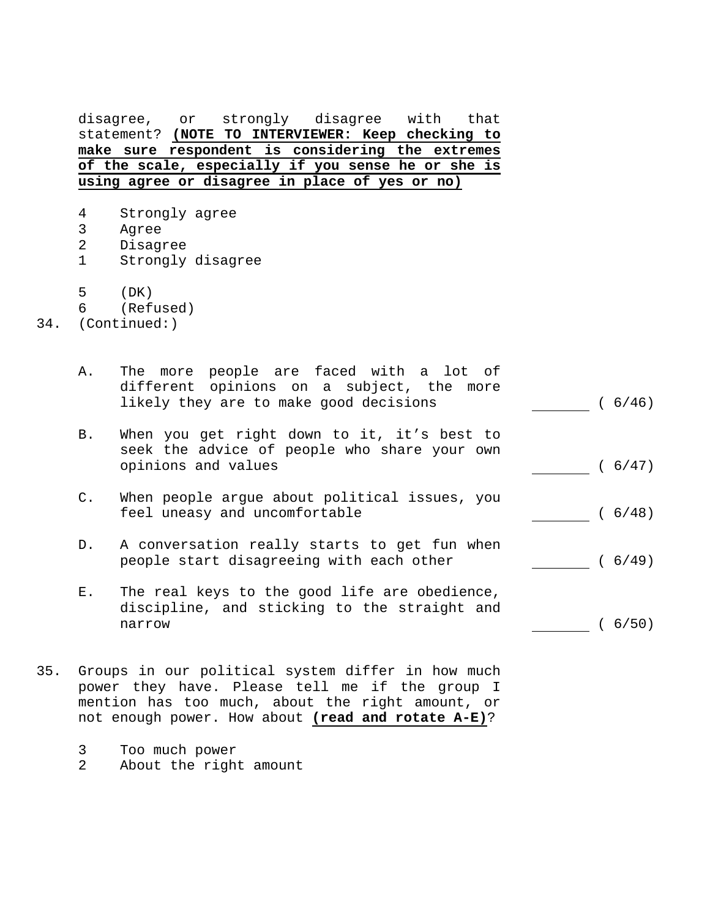disagree, or strongly disagree with that statement? **(NOTE TO INTERVIEWER: Keep checking to make sure respondent is considering the extremes of the scale, especially if you sense he or she is using agree or disagree in place of yes or no)**

- 4 Strongly agree
- 3 Agree
- 2 Disagree
- 1 Strongly disagree
- 5 (DK)
- 6 (Refused)
- 34. (Continued:)

| Α.              | The more people are faced with a lot of<br>different opinions on a subject, the more<br>likely they are to make good decisions | (6/46)  |
|-----------------|--------------------------------------------------------------------------------------------------------------------------------|---------|
| B.              | When you get right down to it, it's best to<br>seek the advice of people who share your own<br>opinions and values             | (6/47)  |
| $\mathsf{C}$ .  | When people argue about political issues, you<br>feel uneasy and uncomfortable                                                 | ( 6/48) |
| $D$ .           | A conversation really starts to get fun when<br>people start disagreeing with each other                                       | (6/49)  |
| $E_{\rm \star}$ | The real keys to the good life are obedience,<br>discipline, and sticking to the straight and<br>narrow                        | 6/50)   |

- 35. Groups in our political system differ in how much power they have. Please tell me if the group I mention has too much, about the right amount, or not enough power. How about **(read and rotate A-E)**?
	- 3 Too much power
	- 2 About the right amount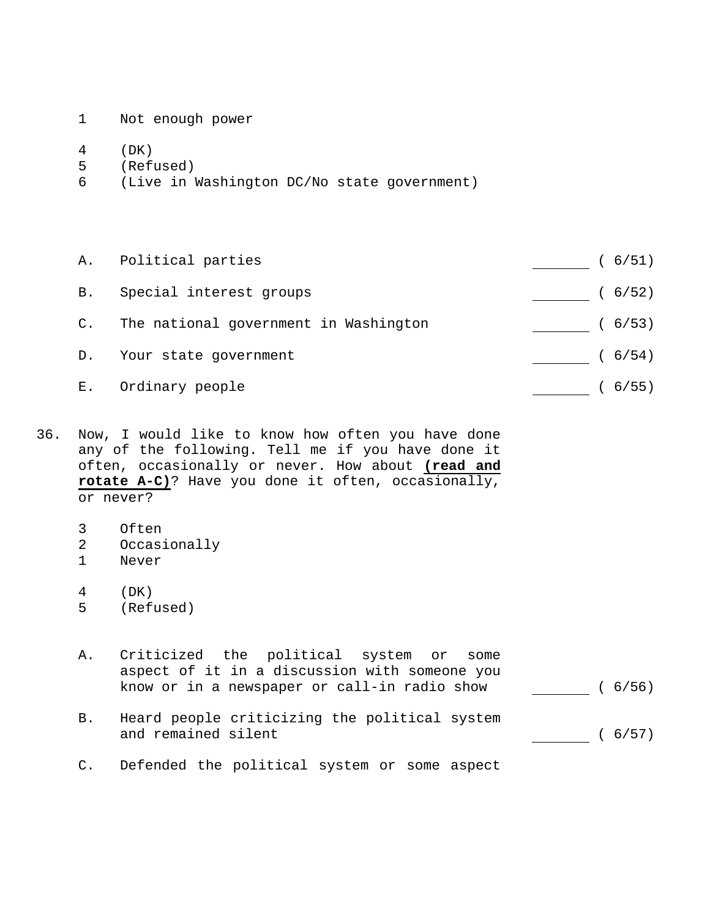- 1 Not enough power
- 4 (DK)
- 5 (Refused)
- 6 (Live in Washington DC/No state government)

 A. Political parties ( 6/51) B. Special interest groups (6/52) C. The national government in Washington [100] (6/53) D. Your state government (6/54) E. Ordinary people (6/55)

36. Now, I would like to know how often you have done any of the following. Tell me if you have done it often, occasionally or never. How about **(read and rotate A-C)**? Have you done it often, occasionally, or never?

- 3 Often
- 2 Occasionally
- 1 Never
- 4 (DK)
- 5 (Refused)
- A. Criticized the political system or some aspect of it in a discussion with someone you know or in a newspaper or call-in radio show  $\sqrt{6/56}$
- B. Heard people criticizing the political system and remained silent (6/57)
- C. Defended the political system or some aspect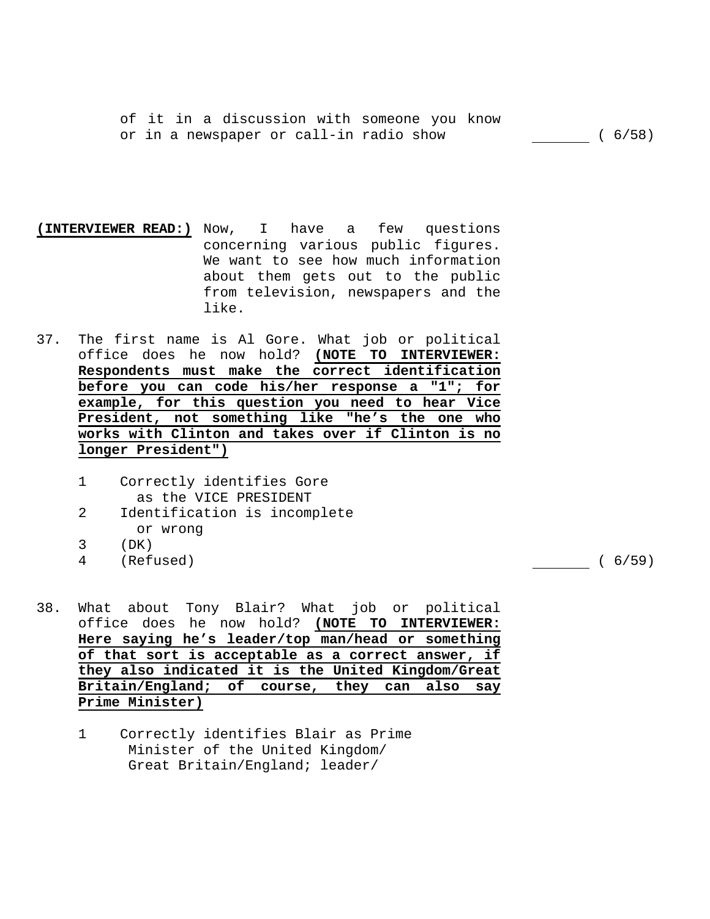of it in a discussion with someone you know or in a newspaper or call-in radio show ( 6/58)

- **(INTERVIEWER READ:)** Now, I have a few questions concerning various public figures. We want to see how much information about them gets out to the public from television, newspapers and the like.
- 37. The first name is Al Gore. What job or political office does he now hold? **(NOTE TO INTERVIEWER: Respondents must make the correct identification before you can code his/her response a "1"; for example, for this question you need to hear Vice President, not something like "he's the one who works with Clinton and takes over if Clinton is no longer President")** 
	- 1 Correctly identifies Gore as the VICE PRESIDENT
	- 2 Identification is incomplete or wrong
	- 3 (DK)
	- 4 (Refused) ( 6/59)

- 38. What about Tony Blair? What job or political office does he now hold? **(NOTE TO INTERVIEWER: Here saying he's leader/top man/head or something of that sort is acceptable as a correct answer, if they also indicated it is the United Kingdom/Great Britain/England; of course, they can also say Prime Minister)** 
	- 1 Correctly identifies Blair as Prime Minister of the United Kingdom/ Great Britain/England; leader/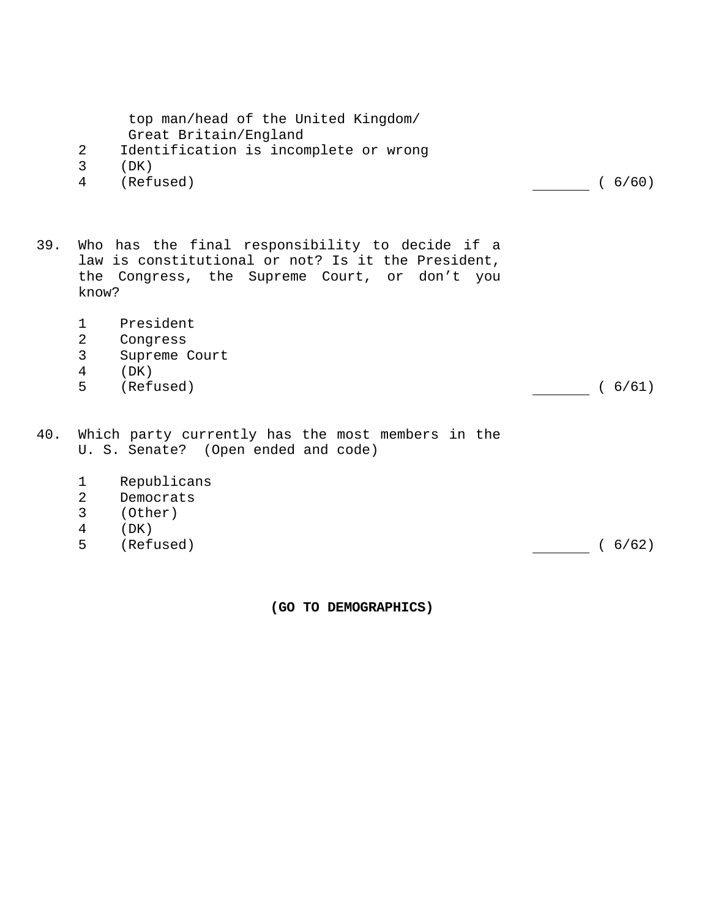| top man/head of the United Kingdom/<br>Great Britain/England<br>$\overline{2}$<br>Identification is incomplete or wrong<br>3<br>(DK)<br>(Refused)<br>4          | (6/60) |
|-----------------------------------------------------------------------------------------------------------------------------------------------------------------|--------|
| Who has the final responsibility to decide if a<br>law is constitutional or not? Is it the President,<br>the Congress, the Supreme Court, or don't you<br>know? |        |
| President<br>$\mathbf 1$<br>$\overline{2}$<br>Congress<br>3<br>Supreme Court<br>4<br>(DK)<br>5<br>(Refused)                                                     | (6/61) |
| Which party currently has the most members in the<br>U. S. Senate? (Open ended and code)                                                                        |        |
| Republicans<br>$\mathbf 1$<br>$\overline{2}$<br>Democrats<br>$\mathbf{3}$<br>(Other)<br>4<br>(DK)<br>5<br>(Refused)                                             | (6/62) |
|                                                                                                                                                                 |        |

**(GO TO DEMOGRAPHICS)**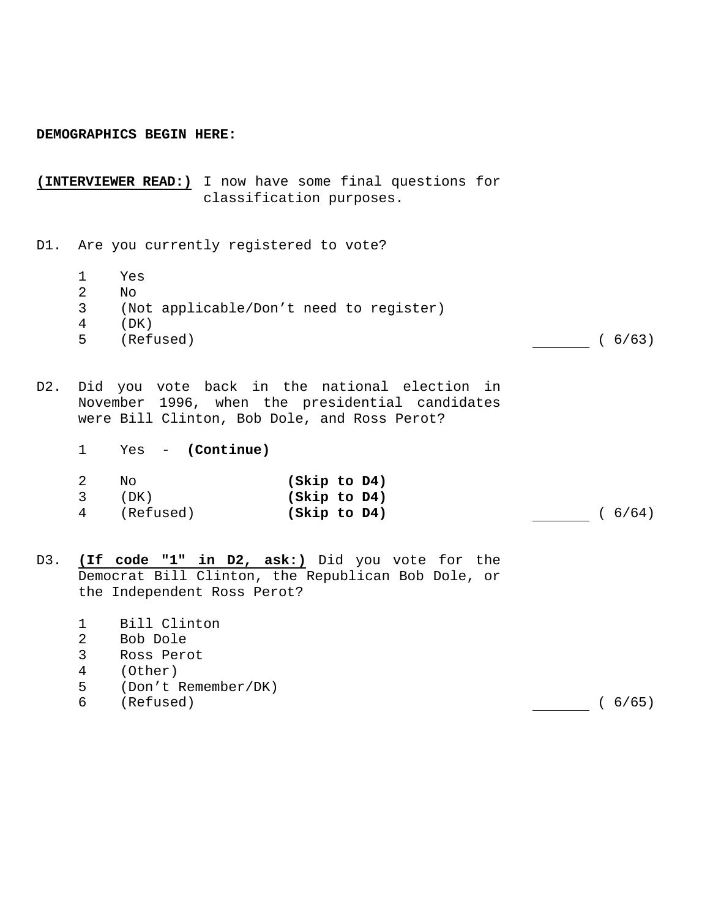#### **DEMOGRAPHICS BEGIN HERE:**

**(INTERVIEWER READ:)** I now have some final questions for classification purposes.

D1. Are you currently registered to vote?

- 1 Yes
- 2 No
- 3 (Not applicable/Don't need to register)
- 4 (DK)
- 5 (Refused) ( 6/63)

- D2. Did you vote back in the national election in November 1996, when the presidential candidates were Bill Clinton, Bob Dole, and Ross Perot?
	- 1 Yes **(Continue)**

| -2  | No        | (Skip to D4) |        |
|-----|-----------|--------------|--------|
| - 3 | (DK)      | (Skip to D4) |        |
| 4   | (Refused) | (Skip to D4) | (6/64) |

- D3. **(If code "1" in D2, ask:)** Did you vote for the Democrat Bill Clinton, the Republican Bob Dole, or the Independent Ross Perot?
	- 1 Bill Clinton
	- 2 Bob Dole
	- 3 Ross Perot
	- 4 (Other)
	- 5 (Don't Remember/DK)
	- 6 (Refused) ( 6/65)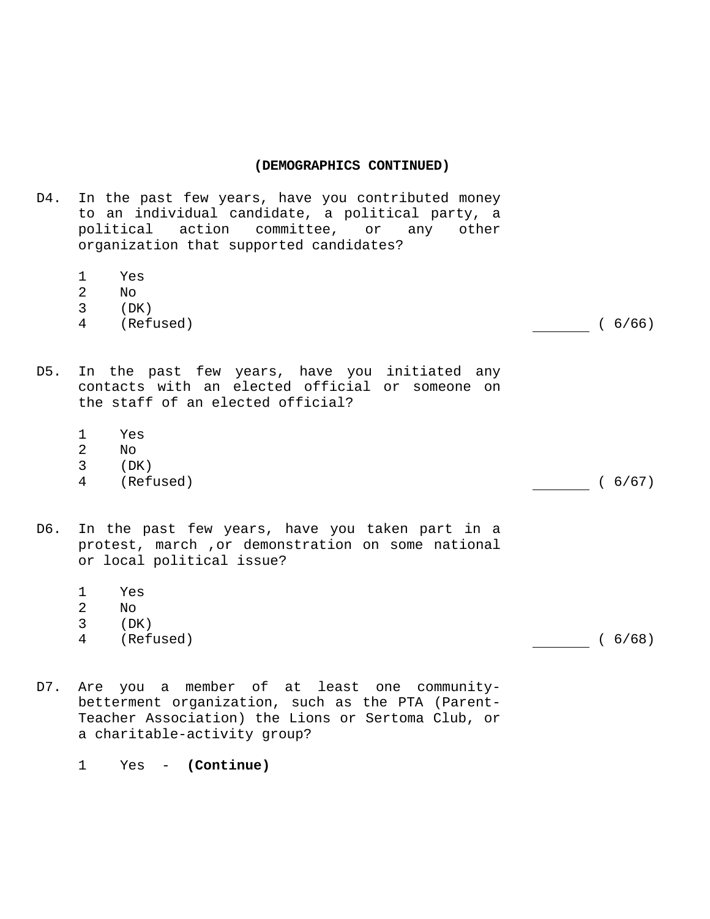- D4. In the past few years, have you contributed money to an individual candidate, a political party, a political action committee, or any other organization that supported candidates?
	- 1 Yes
	- 2  $N<sub>O</sub>$
	- 3 (DK)
	- 4 (Refused) ( 6/66)

- D5. In the past few years, have you initiated any contacts with an elected official or someone on the staff of an elected official?
	- 1 Yes
	- 2 No
	- 3 (DK)
	- 4 (Refused) ( 6/67)

- D6. In the past few years, have you taken part in a protest, march ,or demonstration on some national or local political issue?
	- 1 Yes
	- 2 No
	- 3 (DK)
	- 4 (Refused) ( 6/68)

- D7. Are you a member of at least one communitybetterment organization, such as the PTA (Parent-Teacher Association) the Lions or Sertoma Club, or a charitable-activity group?
	- 1 Yes **(Continue)**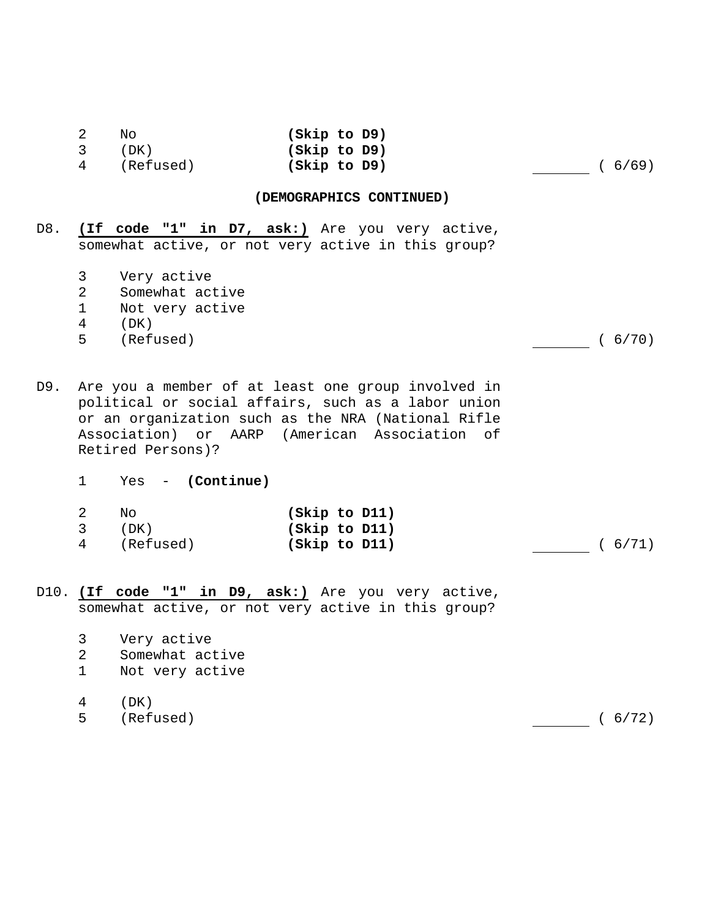|                         | No          | (Skip to D9) |        |
|-------------------------|-------------|--------------|--------|
| $\overline{\mathbf{3}}$ | (DK)        | (Skip to D9) |        |
|                         | 4 (Refused) | (Skip to D9) | (6/69) |

D8. **(If code "1" in D7, ask:)** Are you very active, somewhat active, or not very active in this group?

- 3 Very active
- 2 Somewhat active
- 1 Not very active
- 4 (DK)
- 5 (Refused) ( 6/70)

- D9. Are you a member of at least one group involved in political or social affairs, such as a labor union or an organization such as the NRA (National Rifle Association) or AARP (American Association of Retired Persons)?
	- 1 Yes **(Continue)**

|                | Νo        | (Skip to D11) |         |
|----------------|-----------|---------------|---------|
| $\overline{3}$ | (DK)      | (Skip to D11) |         |
| 4              | (Refused) | (Skip to D11) | ( 6/71) |

- D10. **(If code "1" in D9, ask:)** Are you very active, somewhat active, or not very active in this group?
	- 3 Very active
	- 2 Somewhat active
	- 1 Not very active
	- 4 (DK)
	- 5 (Refused) ( 6/72)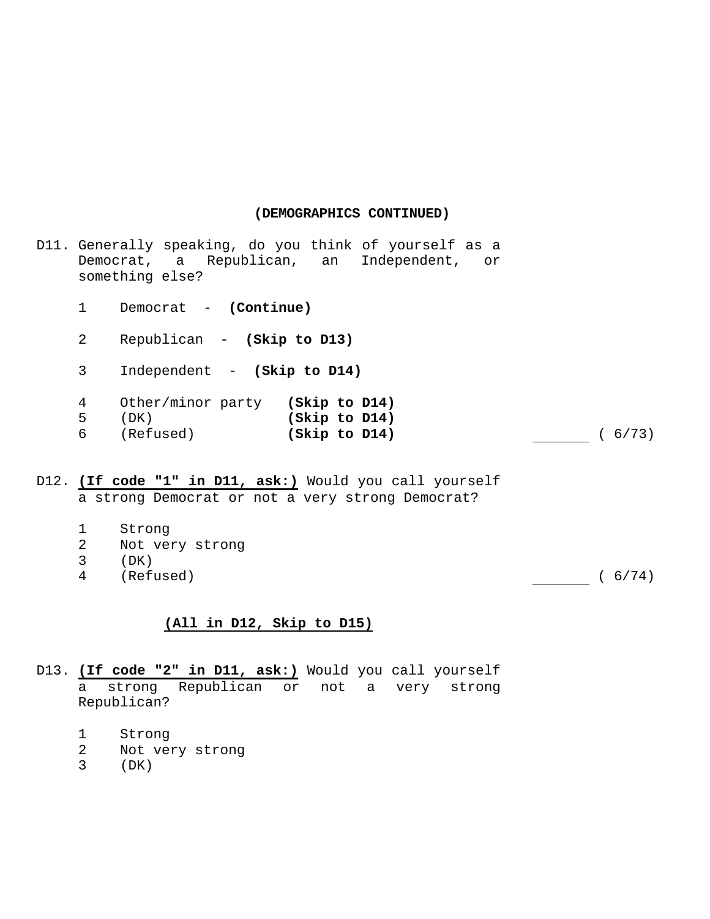|              | D11. Generally speaking, do you think of yourself as a<br>Democrat, a Republican, an Independent, or<br>something else?                                                                                                                                                                                                                                      |                                |  |        |
|--------------|--------------------------------------------------------------------------------------------------------------------------------------------------------------------------------------------------------------------------------------------------------------------------------------------------------------------------------------------------------------|--------------------------------|--|--------|
| $\mathbf{1}$ | Democrat - (Continue)                                                                                                                                                                                                                                                                                                                                        |                                |  |        |
| $\mathbf{2}$ | Republican - (Skip to D13)                                                                                                                                                                                                                                                                                                                                   |                                |  |        |
| 3            | Independent - (Skip to D14)                                                                                                                                                                                                                                                                                                                                  |                                |  |        |
| 4<br>5<br>6  | Other/minor party (Skip to D14)<br>(DK)<br>(Refused)                                                                                                                                                                                                                                                                                                         | (Skip to D14)<br>(Skip to D14) |  | (6/73) |
|              | $\overline{10}$ (Tf and $\overline{11}$ in $\overline{11}$ anke) $\overline{10}$ $\overline{11}$ $\overline{11}$ $\overline{11}$ $\overline{11}$ $\overline{11}$ $\overline{11}$ $\overline{11}$ $\overline{11}$ $\overline{11}$ $\overline{11}$ $\overline{11}$ $\overline{11}$ $\overline{11}$ $\overline{11}$ $\overline{11}$ $\overline{11}$ $\overline$ |                                |  |        |

D12. **(If code "1" in D11, ask:)** Would you call yourself a strong Democrat or not a very strong Democrat?

- 1 Strong<br>2 Not vel
- Not very strong
- 3 (DK)
- 4 (Refused) ( 6/74)

# **(All in D12, Skip to D15)**

- D13. **(If code "2" in D11, ask:)** Would you call yourself a strong Republican or not a very strong Republican?
	- 1 Strong
	- 2 Not very strong
	- 3 (DK)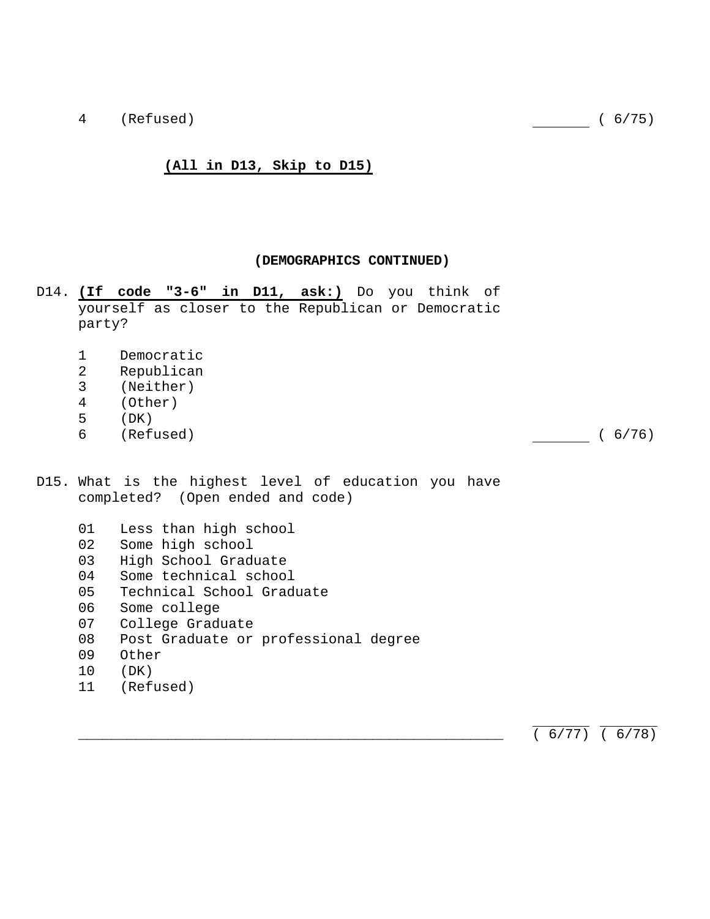4 (Refused) ( 6/75)

#### **(All in D13, Skip to D15)**

#### **(DEMOGRAPHICS CONTINUED)**

- D14. **(If code "3-6" in D11, ask:)** Do you think of yourself as closer to the Republican or Democratic party?
	- 1 Democratic
	- 2 Republican
	- 3 (Neither)
	- 4 (Other)
	- 5 (DK)
	- 6 (Refused) ( 6/76)

- D15. What is the highest level of education you have completed? (Open ended and code)
	- 01 Less than high school
	- 02 Some high school
	- 03 High School Graduate
	- 04 Some technical school
	- 05 Technical School Graduate
	- 06 Some college
	- 07 College Graduate
	- 08 Post Graduate or professional degree
	- 09 Other
	- 10 (DK)
	- 11 (Refused)

 $(6/77) (6/78)$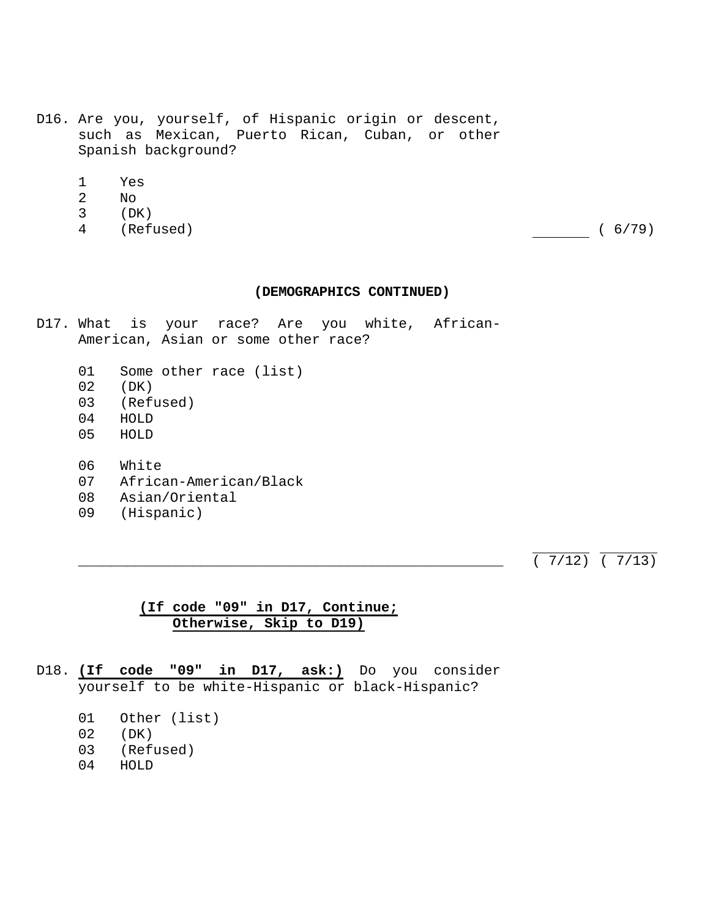- D16. Are you, yourself, of Hispanic origin or descent, such as Mexican, Puerto Rican, Cuban, or other Spanish background?
	- 1 Yes
	- 2 No
	- 3 (DK)
	- 4 (Refused) ( 6/79)

- D17. What is your race? Are you white, African-American, Asian or some other race?
	- 01 Some other race (list)
	- 02 (DK)
	- 03 (Refused)
	- 04 HOLD
	- 05 HOLD
	- 06 White
	- 07 African-American/Black
	- 08 Asian/Oriental
	- 09 (Hispanic)

 $\overline{(7/12)}$   $\overline{(7/13)}$ 

# **(If code "09" in D17, Continue; Otherwise, Skip to D19)**

- D18. **(If code "09" in D17, ask:)** Do you consider yourself to be white-Hispanic or black-Hispanic?
	- 01 Other (list)
	- 02 (DK)
	- 03 (Refused)
	- 04 HOLD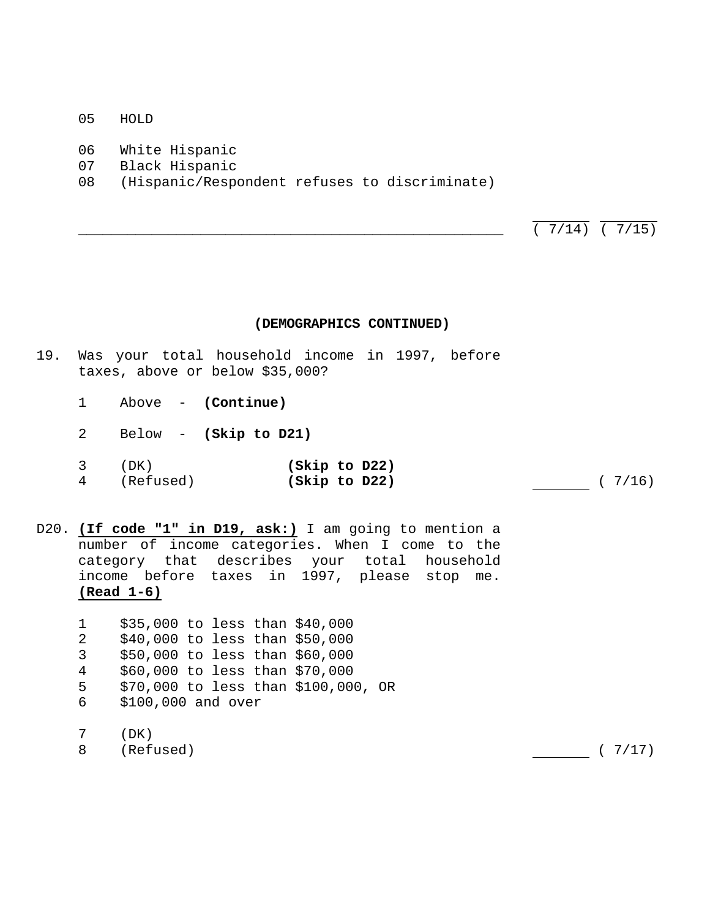- 05 HOLD
- 06 White Hispanic
- 07 Black Hispanic
- 08 (Hispanic/Respondent refuses to discriminate)

 $\overline{(7/14)}$   $\overline{(7/15)}$ 

#### **(DEMOGRAPHICS CONTINUED)**

- 19. Was your total household income in 1997, before taxes, above or below \$35,000?
	- 1 Above **(Continue)**
	- 2 Below **(Skip to D21)**

| (DK)      | (Skip to D22) |        |
|-----------|---------------|--------|
| (Refused) | (Skip to D22) | (7/16) |

D20. **(If code "1" in D19, ask:)** I am going to mention a number of income categories. When I come to the category that describes your total household income before taxes in 1997, please stop me. **(Read 1-6)**

 1 \$35,000 to less than \$40,000 2 \$40,000 to less than \$50,000 3 \$50,000 to less than \$60,000 4 \$60,000 to less than \$70,000 5 \$70,000 to less than \$100,000, OR 6 \$100,000 and over

7 (DK)

8 (Refused) ( 7/17)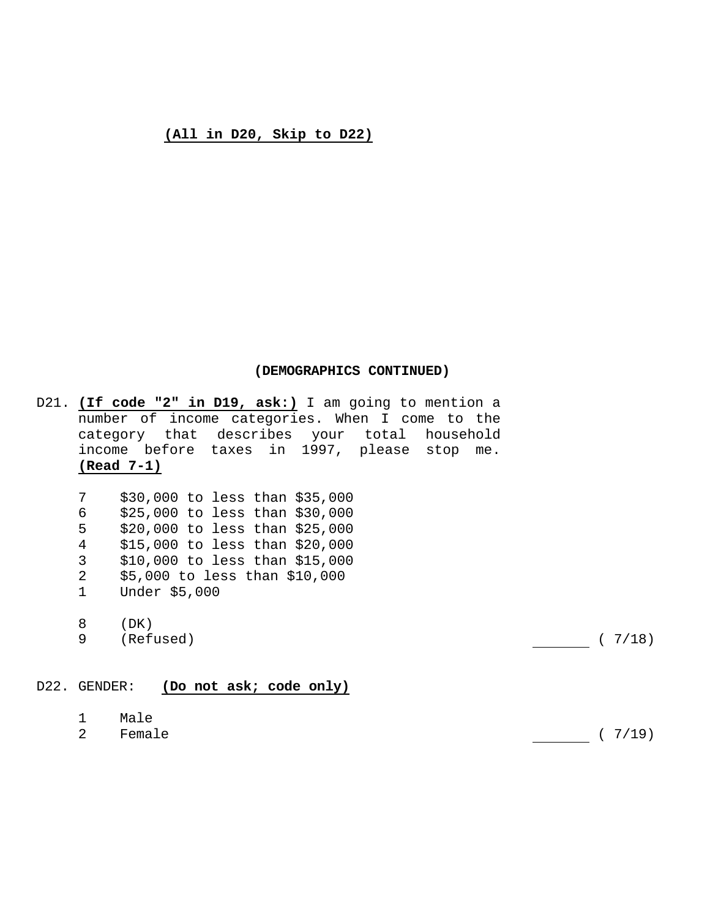# **(All in D20, Skip to D22)**

## **(DEMOGRAPHICS CONTINUED)**

D21. **(If code "2" in D19, ask:)** I am going to mention a number of income categories. When I come to the category that describes your total household income before taxes in 1997, please stop me. **(Read 7-1)**

| 7            | \$30,000 to less than \$35,000 |
|--------------|--------------------------------|
| 6            | \$25,000 to less than \$30,000 |
| 5            | \$20,000 to less than \$25,000 |
| 4            | \$15,000 to less than \$20,000 |
| 3            | \$10,000 to less than \$15,000 |
| 2            | \$5,000 to less than \$10,000  |
| $\mathbf{1}$ | Under \$5,000                  |

8 (DK)<br>9 (Refused)  $(7/18)$ 

# D22. GENDER: **(Do not ask; code only)**

- 1 Male
- 2 Female (7/19)